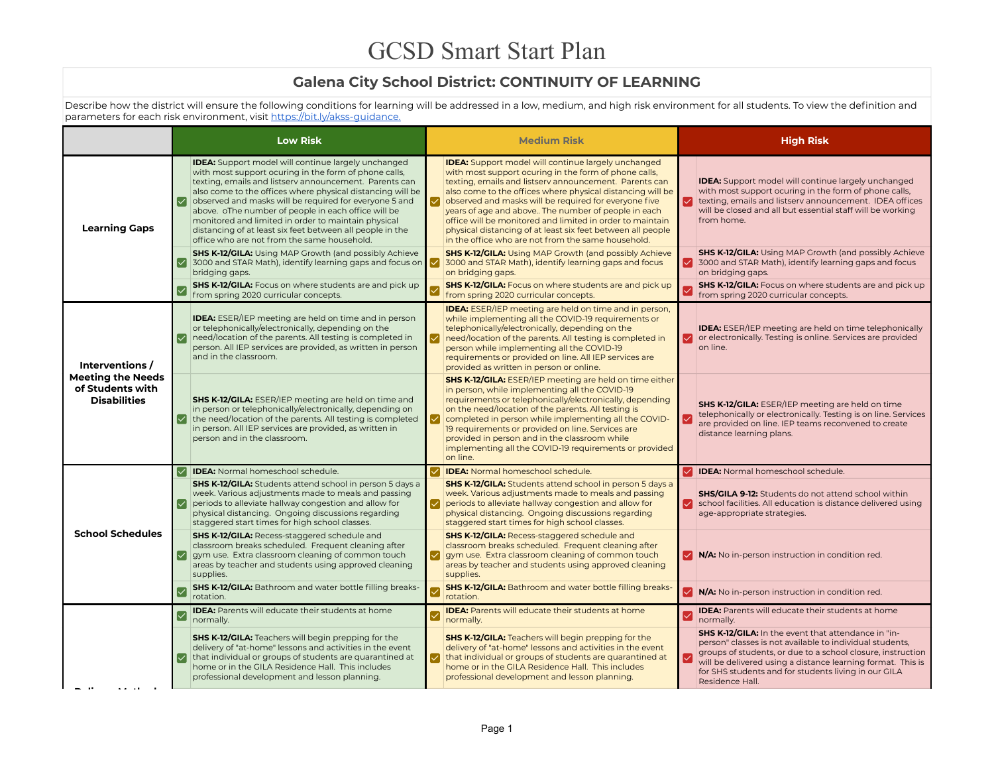## **Galena City School District: CONTINUITY OF LEARNING**

Describe how the district will ensure the following conditions for learning will be addressed in a low, medium, and high risk environment for all students. To view the definition and parameters for each risk environment, visit https://bit.ly/akss-guidance.

|                                                                     |                       | <b>Low Risk</b>                                                                                                                                                                                                                                                                                                                                                                                                                                                                                                                 |              | <b>Medium Risk</b>                                                                                                                                                                                                                                                                                                                                                                                                                                                                                                                            | <b>High Risk</b>                                                                                                                                                                                                                                                                                                         |
|---------------------------------------------------------------------|-----------------------|---------------------------------------------------------------------------------------------------------------------------------------------------------------------------------------------------------------------------------------------------------------------------------------------------------------------------------------------------------------------------------------------------------------------------------------------------------------------------------------------------------------------------------|--------------|-----------------------------------------------------------------------------------------------------------------------------------------------------------------------------------------------------------------------------------------------------------------------------------------------------------------------------------------------------------------------------------------------------------------------------------------------------------------------------------------------------------------------------------------------|--------------------------------------------------------------------------------------------------------------------------------------------------------------------------------------------------------------------------------------------------------------------------------------------------------------------------|
| <b>Learning Gaps</b>                                                |                       | <b>IDEA:</b> Support model will continue largely unchanged<br>with most support ocuring in the form of phone calls,<br>texting, emails and listserv announcement. Parents can<br>also come to the offices where physical distancing will be<br>observed and masks will be required for everyone 5 and<br>above. oThe number of people in each office will be<br>monitored and limited in order to maintain physical<br>distancing of at least six feet between all people in the<br>office who are not from the same household. | ✓            | <b>IDEA:</b> Support model will continue largely unchanged<br>with most support ocuring in the form of phone calls,<br>texting, emails and listserv announcement. Parents can<br>also come to the offices where physical distancing will be<br>observed and masks will be required for everyone five<br>years of age and above The number of people in each<br>office will be monitored and limited in order to maintain<br>physical distancing of at least six feet between all people<br>in the office who are not from the same household. | <b>IDEA:</b> Support model will continue largely unchanged<br>with most support ocuring in the form of phone calls,<br>texting, emails and listsery announcement. IDEA offices<br>will be closed and all but essential staff will be working<br>from home.                                                               |
|                                                                     |                       | <b>SHS K-12/GILA:</b> Using MAP Growth (and possibly Achieve<br>✓ 3000 and STAR Math), identify learning gaps and focus on V<br>bridging gaps.<br><b>SHS K-12/GILA:</b> Focus on where students are and pick up                                                                                                                                                                                                                                                                                                                 |              | <b>SHS K-12/GILA:</b> Using MAP Growth (and possibly Achieve<br>3000 and STAR Math), identify learning gaps and focus<br>on bridging gaps.<br><b>SHS K-12/GILA:</b> Focus on where students are and pick up                                                                                                                                                                                                                                                                                                                                   | <b>SHS K-12/GILA:</b> Using MAP Growth (and possibly Achieve<br>3000 and STAR Math), identify learning gaps and focus<br>on bridging gaps.<br>SHS K-12/GILA: Focus on where students are and pick up                                                                                                                     |
|                                                                     | $\blacktriangleright$ | from spring 2020 curricular concepts.                                                                                                                                                                                                                                                                                                                                                                                                                                                                                           |              | from spring 2020 curricular concepts.                                                                                                                                                                                                                                                                                                                                                                                                                                                                                                         | from spring 2020 curricular concepts.                                                                                                                                                                                                                                                                                    |
| Interventions /                                                     |                       | <b>IDEA:</b> ESER/IEP meeting are held on time and in person<br>or telephonically/electronically, depending on the<br>The Police at a parents. All testing is completed in<br>person. All IEP services are provided, as written in person<br>and in the classroom.                                                                                                                                                                                                                                                              | ∣✓∣          | <b>IDEA:</b> ESER/IEP meeting are held on time and in person,<br>while implementing all the COVID-19 requirements or<br>telephonically/electronically, depending on the<br>need/location of the parents. All testing is completed in<br>person while implementing all the COVID-19<br>requirements or provided on line. All IEP services are<br>provided as written in person or online.                                                                                                                                                      | <b>IDEA:</b> ESER/IEP meeting are held on time telephonically<br>or electronically. Testing is online. Services are provided<br>on line.                                                                                                                                                                                 |
| <b>Meeting the Needs</b><br>of Students with<br><b>Disabilities</b> |                       | SHS K-12/GILA: ESER/IEP meeting are held on time and<br>in person or telephonically/electronically, depending on<br>$\vee$ the need/location of the parents. All testing is completed<br>in person. All IEP services are provided, as written in<br>person and in the classroom.                                                                                                                                                                                                                                                | ▽            | SHS K-12/GILA: ESER/IEP meeting are held on time either<br>in person, while implementing all the COVID-19<br>requirements or telephonically/electronically, depending<br>on the need/location of the parents. All testing is<br>completed in person while implementing all the COVID-<br>19 requirements or provided on line. Services are<br>provided in person and in the classroom while<br>implementing all the COVID-19 requirements or provided<br>on line.                                                                             | SHS K-12/GILA: ESER/IEP meeting are held on time<br>telephonically or electronically. Testing is on line. Services<br>are provided on line. IEP teams reconvened to create<br>distance learning plans.                                                                                                                   |
|                                                                     |                       | IDEA: Normal homeschool schedule.                                                                                                                                                                                                                                                                                                                                                                                                                                                                                               |              | IDEA: Normal homeschool schedule.                                                                                                                                                                                                                                                                                                                                                                                                                                                                                                             | <b>IDEA:</b> Normal homeschool schedule.                                                                                                                                                                                                                                                                                 |
|                                                                     |                       | SHS K-12/GILA: Students attend school in person 5 days a<br>week. Various adjustments made to meals and passing<br>periods to alleviate hallway congestion and allow for<br>physical distancing. Ongoing discussions regarding<br>staggered start times for high school classes.                                                                                                                                                                                                                                                | ✓            | <b>SHS K-12/GILA:</b> Students attend school in person 5 days a<br>week. Various adjustments made to meals and passing<br>periods to alleviate hallway congestion and allow for<br>physical distancing. Ongoing discussions regarding<br>staggered start times for high school classes.                                                                                                                                                                                                                                                       | <b>SHS/GILA 9-12:</b> Students do not attend school within<br>school facilities. All education is distance delivered using<br>age-appropriate strategies.                                                                                                                                                                |
| <b>School Schedules</b>                                             |                       | <b>SHS K-12/GILA: Recess-staggered schedule and</b><br>classroom breaks scheduled. Frequent cleaning after<br>I gym use. Extra classroom cleaning of common touch<br>areas by teacher and students using approved cleaning<br>supplies.                                                                                                                                                                                                                                                                                         | $\checkmark$ | <b>SHS K-12/GILA: Recess-staggered schedule and</b><br>classroom breaks scheduled. Frequent cleaning after<br>gym use. Extra classroom cleaning of common touch<br>areas by teacher and students using approved cleaning<br>supplies.                                                                                                                                                                                                                                                                                                         | <b>MA:</b> No in-person instruction in condition red.                                                                                                                                                                                                                                                                    |
|                                                                     |                       | <b>SHS K-12/GILA:</b> Bathroom and water bottle filling breaks-<br>rotation.                                                                                                                                                                                                                                                                                                                                                                                                                                                    |              | <b>SHS K-12/GILA:</b> Bathroom and water bottle filling breaks-<br>rotation.                                                                                                                                                                                                                                                                                                                                                                                                                                                                  | V N/A: No in-person instruction in condition red.                                                                                                                                                                                                                                                                        |
|                                                                     |                       | <b>IDEA:</b> Parents will educate their students at home<br>normally.                                                                                                                                                                                                                                                                                                                                                                                                                                                           |              | <b>IDEA:</b> Parents will educate their students at home<br>normally.                                                                                                                                                                                                                                                                                                                                                                                                                                                                         | <b>IDEA:</b> Parents will educate their students at home<br>normally.                                                                                                                                                                                                                                                    |
|                                                                     |                       | SHS K-12/GILA: Teachers will begin prepping for the<br>delivery of "at-home" lessons and activities in the event<br>that individual or groups of students are quarantined at<br>home or in the GILA Residence Hall. This includes<br>professional development and lesson planning.                                                                                                                                                                                                                                              | ⋈            | <b>SHS K-12/GILA:</b> Teachers will begin prepping for the<br>delivery of "at-home" lessons and activities in the event<br>that individual or groups of students are quarantined at<br>home or in the GILA Residence Hall. This includes<br>professional development and lesson planning.                                                                                                                                                                                                                                                     | SHS K-12/GILA: In the event that attendance in "in-<br>person" classes is not available to individual students,<br>groups of students, or due to a school closure, instruction<br>will be delivered using a distance learning format. This is<br>for SHS students and for students living in our GILA<br>Residence Hall. |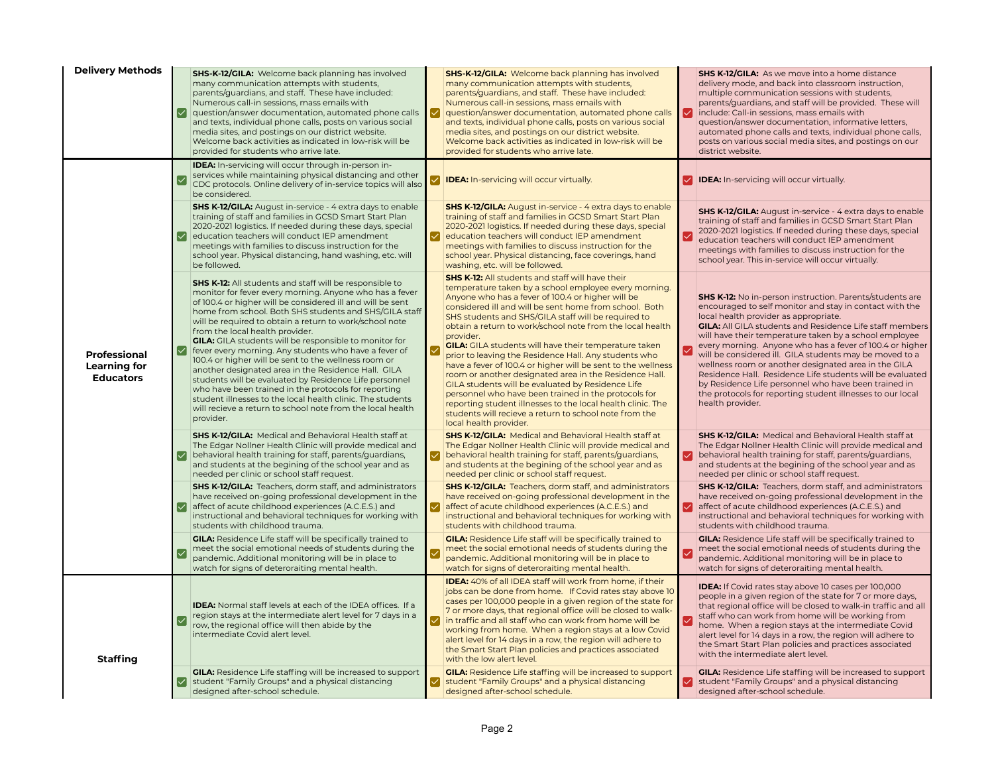| <b>Delivery Methods</b>                          | ∣✓∣                       | <b>SHS-K-12/GILA:</b> Welcome back planning has involved<br>many communication attempts with students,<br>parents/guardians, and staff. These have included:<br>Numerous call-in sessions, mass emails with<br>question/answer documentation, automated phone calls<br>and texts, individual phone calls, posts on various social<br>media sites, and postings on our district website.<br>Welcome back activities as indicated in low-risk will be<br>provided for students who arrive late.                                                                                                                                                                                                                                                                                                                                                       | ✓ | <b>SHS-K-12/GILA:</b> Welcome back planning has involved<br>many communication attempts with students,<br>parents/guardians, and staff. These have included:<br>Numerous call-in sessions, mass emails with<br>question/answer documentation, automated phone calls<br>and texts, individual phone calls, posts on various social<br>media sites, and postings on our district website.<br>Welcome back activities as indicated in low-risk will be<br>provided for students who arrive late.                                                                                                                                                                                                                                                                                                                                                                                       | ☑           | <b>SHS K-12/GILA:</b> As we move into a home distance<br>delivery mode, and back into classroom instruction,<br>multiple communication sessions with students,<br>parents/guardians, and staff will be provided. These will<br>include: Call-in sessions, mass emails with<br>question/answer documentation, informative letters,<br>automated phone calls and texts, individual phone calls,<br>posts on various social media sites, and postings on our<br>district website.                                                                                                                                                                                                         |
|--------------------------------------------------|---------------------------|-----------------------------------------------------------------------------------------------------------------------------------------------------------------------------------------------------------------------------------------------------------------------------------------------------------------------------------------------------------------------------------------------------------------------------------------------------------------------------------------------------------------------------------------------------------------------------------------------------------------------------------------------------------------------------------------------------------------------------------------------------------------------------------------------------------------------------------------------------|---|-------------------------------------------------------------------------------------------------------------------------------------------------------------------------------------------------------------------------------------------------------------------------------------------------------------------------------------------------------------------------------------------------------------------------------------------------------------------------------------------------------------------------------------------------------------------------------------------------------------------------------------------------------------------------------------------------------------------------------------------------------------------------------------------------------------------------------------------------------------------------------------|-------------|----------------------------------------------------------------------------------------------------------------------------------------------------------------------------------------------------------------------------------------------------------------------------------------------------------------------------------------------------------------------------------------------------------------------------------------------------------------------------------------------------------------------------------------------------------------------------------------------------------------------------------------------------------------------------------------|
|                                                  |                           | <b>IDEA:</b> In-servicing will occur through in-person in-<br>services while maintaining physical distancing and other<br>CDC protocols. Online delivery of in-service topics will also<br>be considered.                                                                                                                                                                                                                                                                                                                                                                                                                                                                                                                                                                                                                                           |   | <b>IDEA:</b> In-servicing will occur virtually.                                                                                                                                                                                                                                                                                                                                                                                                                                                                                                                                                                                                                                                                                                                                                                                                                                     |             | <b>IDEA:</b> In-servicing will occur virtually.                                                                                                                                                                                                                                                                                                                                                                                                                                                                                                                                                                                                                                        |
|                                                  | M                         | <b>SHS K-12/GILA:</b> August in-service - 4 extra days to enable<br>training of staff and families in GCSD Smart Start Plan<br>2020-2021 logistics. If needed during these days, special<br>education teachers will conduct IEP amendment<br>meetings with families to discuss instruction for the<br>school year. Physical distancing, hand washing, etc. will<br>be followed.                                                                                                                                                                                                                                                                                                                                                                                                                                                                     |   | <b>SHS K-12/GILA:</b> August in-service - 4 extra days to enable<br>training of staff and families in GCSD Smart Start Plan<br>2020-2021 logistics. If needed during these days, special<br>education teachers will conduct IEP amendment<br>meetings with families to discuss instruction for the<br>school year. Physical distancing, face coverings, hand<br>washing, etc. will be followed.                                                                                                                                                                                                                                                                                                                                                                                                                                                                                     | ∣✓          | <b>SHS K-12/GILA:</b> August in-service - 4 extra days to enable<br>training of staff and families in GCSD Smart Start Plan<br>2020-2021 logistics. If needed during these days, special<br>education teachers will conduct IEP amendment<br>meetings with families to discuss instruction for the<br>school year. This in-service will occur virtually.                                                                                                                                                                                                                                                                                                                               |
| Professional<br>Learning for<br><b>Educators</b> | ∣✓∣                       | <b>SHS K-12:</b> All students and staff will be responsible to<br>monitor for fever every morning. Anyone who has a fever<br>of 100.4 or higher will be considered ill and will be sent<br>home from school. Both SHS students and SHS/GILA staff<br>will be required to obtain a return to work/school note<br>from the local health provider.<br><b>GILA:</b> GILA students will be responsible to monitor for<br>fever every morning. Any students who have a fever of<br>100.4 or higher will be sent to the wellness room or<br>another designated area in the Residence Hall. GILA<br>students will be evaluated by Residence Life personnel<br>who have been trained in the protocols for reporting<br>student illnesses to the local health clinic. The students<br>will recieve a return to school note from the local health<br>provider. |   | <b>SHS K-12:</b> All students and staff will have their<br>temperature taken by a school employee every morning.<br>Anyone who has a fever of 100.4 or higher will be<br>considered ill and will be sent home from school. Both<br>SHS students and SHS/GILA staff will be required to<br>obtain a return to work/school note from the local health<br>provider.<br><b>GILA:</b> GILA students will have their temperature taken<br>prior to leaving the Residence Hall. Any students who<br>have a fever of 100.4 or higher will be sent to the wellness<br>room or another designated area in the Residence Hall.<br>GILA students will be evaluated by Residence Life<br>personnel who have been trained in the protocols for<br>reporting student illnesses to the local health clinic. The<br>students will recieve a return to school note from the<br>local health provider. |             | <b>SHS K-12:</b> No in-person instruction. Parents/students are<br>encouraged to self monitor and stay in contact with the<br>local health provider as appropriate.<br><b>GILA:</b> All GILA students and Residence Life staff members<br>will have their temperature taken by a school employee<br>every morning. Anyone who has a fever of 100.4 or higher<br>will be considered ill. GILA students may be moved to a<br>wellness room or another designated area in the GILA<br>Residence Hall. Residence Life students will be evaluated<br>by Residence Life personnel who have been trained in<br>the protocols for reporting student illnesses to our local<br>health provider. |
|                                                  | ✓                         | <b>SHS K-12/GILA:</b> Medical and Behavioral Health staff at<br>The Edgar Nollner Health Clinic will provide medical and<br>behavioral health training for staff, parents/guardians,<br>and students at the begining of the school year and as<br>needed per clinic or school staff request.                                                                                                                                                                                                                                                                                                                                                                                                                                                                                                                                                        |   | <b>SHS K-12/GILA:</b> Medical and Behavioral Health staff at<br>The Edgar Nollner Health Clinic will provide medical and<br>behavioral health training for staff, parents/guardians,<br>and students at the begining of the school year and as<br>needed per clinic or school staff request.                                                                                                                                                                                                                                                                                                                                                                                                                                                                                                                                                                                        | ☑           | <b>SHS K-12/GILA:</b> Medical and Behavioral Health staff at<br>The Edgar Nollner Health Clinic will provide medical and<br>behavioral health training for staff, parents/guardians,<br>and students at the begining of the school year and as<br>needed per clinic or school staff request.                                                                                                                                                                                                                                                                                                                                                                                           |
|                                                  | $\boldsymbol{\mathsf{L}}$ | <b>SHS K-12/GILA:</b> Teachers, dorm staff, and administrators<br>have received on-going professional development in the<br>affect of acute childhood experiences (A.C.E.S.) and<br>instructional and behavioral techniques for working with<br>students with childhood trauma.                                                                                                                                                                                                                                                                                                                                                                                                                                                                                                                                                                     |   | <b>SHS K-12/GILA:</b> Teachers, dorm staff, and administrators<br>have received on-going professional development in the<br>affect of acute childhood experiences (A.C.E.S.) and<br>instructional and behavioral techniques for working with<br>students with childhood trauma.                                                                                                                                                                                                                                                                                                                                                                                                                                                                                                                                                                                                     | $\bm{\vee}$ | <b>SHS K-12/GILA:</b> Teachers, dorm staff, and administrators<br>have received on-going professional development in the<br>affect of acute childhood experiences (A.C.E.S.) and<br>instructional and behavioral techniques for working with<br>students with childhood trauma.                                                                                                                                                                                                                                                                                                                                                                                                        |
|                                                  | ☑                         | <b>GILA:</b> Residence Life staff will be specifically trained to<br>meet the social emotional needs of students during the<br>pandemic. Additional monitoring will be in place to<br>watch for signs of deteroraiting mental health.                                                                                                                                                                                                                                                                                                                                                                                                                                                                                                                                                                                                               |   | <b>GILA:</b> Residence Life staff will be specifically trained to<br>meet the social emotional needs of students during the<br>pandemic. Additional monitoring will be in place to<br>watch for signs of deteroraiting mental health.                                                                                                                                                                                                                                                                                                                                                                                                                                                                                                                                                                                                                                               |             | <b>GILA:</b> Residence Life staff will be specifically trained to<br>meet the social emotional needs of students during the<br>pandemic. Additional monitoring will be in place to<br>watch for signs of deteroraiting mental health.                                                                                                                                                                                                                                                                                                                                                                                                                                                  |
| <b>Staffing</b>                                  |                           | <b>IDEA:</b> Normal staff levels at each of the IDEA offices. If a<br>region stays at the intermediate alert level for 7 days in a<br>row, the regional office will then abide by the<br>intermediate Covid alert level.                                                                                                                                                                                                                                                                                                                                                                                                                                                                                                                                                                                                                            |   | <b>IDEA:</b> 40% of all IDEA staff will work from home, if their<br>jobs can be done from home. If Covid rates stay above 10<br>cases per 100,000 people in a given region of the state for<br>7 or more days, that regional office will be closed to walk-<br>in traffic and all staff who can work from home will be<br>working from home. When a region stays at a low Covid<br>alert level for 14 days in a row, the region will adhere to<br>the Smart Start Plan policies and practices associated<br>with the low alert level.                                                                                                                                                                                                                                                                                                                                               |             | <b>IDEA:</b> If Covid rates stay above 10 cases per 100,000<br>people in a given region of the state for 7 or more days,<br>that regional office will be closed to walk-in traffic and all<br>staff who can work from home will be working from<br>home. When a region stays at the intermediate Covid<br>alert level for 14 days in a row, the region will adhere to<br>the Smart Start Plan policies and practices associated<br>with the intermediate alert level.                                                                                                                                                                                                                  |
|                                                  | M                         | <b>GILA:</b> Residence Life staffing will be increased to support<br>student "Family Groups" and a physical distancing<br>designed after-school schedule.                                                                                                                                                                                                                                                                                                                                                                                                                                                                                                                                                                                                                                                                                           | ∨ | <b>GILA:</b> Residence Life staffing will be increased to support<br>student "Family Groups" and a physical distancing<br>designed after-school schedule.                                                                                                                                                                                                                                                                                                                                                                                                                                                                                                                                                                                                                                                                                                                           |             | <b>GILA:</b> Residence Life staffing will be increased to support<br>student "Family Groups" and a physical distancing<br>designed after-school schedule.                                                                                                                                                                                                                                                                                                                                                                                                                                                                                                                              |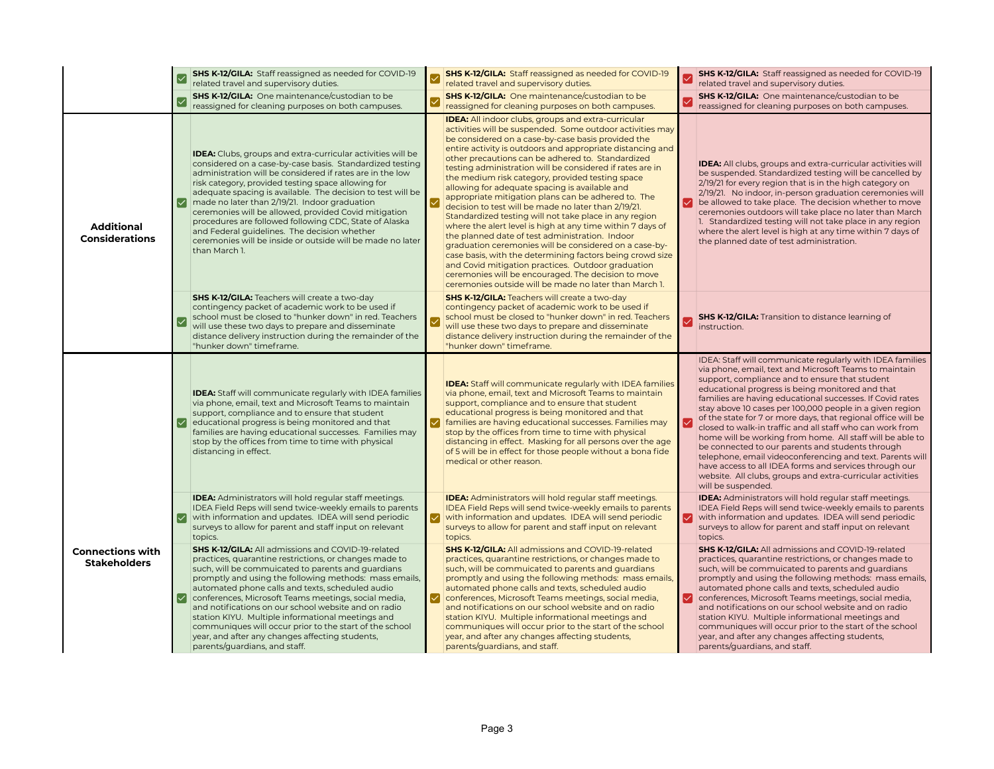|                                                |   | <b>SHS K-12/GILA:</b> Staff reassigned as needed for COVID-19<br>related travel and supervisory duties.                                                                                                                                                                                                                                                                                                                                                                                                                                                                                                       |   | <b>SHS K-12/GILA:</b> Staff reassigned as needed for COVID-19<br>related travel and supervisory duties.                                                                                                                                                                                                                                                                                                                                                                                                                                                                                                                                                                                                                                                                                                                                                                                                                                                                                                                                                     |   | SHS K-12/GILA: Staff reassigned as needed for COVID-19<br>related travel and supervisory duties.                                                                                                                                                                                                                                                                                                                                                                                                                                                                                                                                                                                                                                                                                                             |
|------------------------------------------------|---|---------------------------------------------------------------------------------------------------------------------------------------------------------------------------------------------------------------------------------------------------------------------------------------------------------------------------------------------------------------------------------------------------------------------------------------------------------------------------------------------------------------------------------------------------------------------------------------------------------------|---|-------------------------------------------------------------------------------------------------------------------------------------------------------------------------------------------------------------------------------------------------------------------------------------------------------------------------------------------------------------------------------------------------------------------------------------------------------------------------------------------------------------------------------------------------------------------------------------------------------------------------------------------------------------------------------------------------------------------------------------------------------------------------------------------------------------------------------------------------------------------------------------------------------------------------------------------------------------------------------------------------------------------------------------------------------------|---|--------------------------------------------------------------------------------------------------------------------------------------------------------------------------------------------------------------------------------------------------------------------------------------------------------------------------------------------------------------------------------------------------------------------------------------------------------------------------------------------------------------------------------------------------------------------------------------------------------------------------------------------------------------------------------------------------------------------------------------------------------------------------------------------------------------|
|                                                |   | SHS K-12/GILA: One maintenance/custodian to be<br>reassigned for cleaning purposes on both campuses.                                                                                                                                                                                                                                                                                                                                                                                                                                                                                                          |   | <b>SHS K-12/GILA:</b> One maintenance/custodian to be<br>reassigned for cleaning purposes on both campuses.                                                                                                                                                                                                                                                                                                                                                                                                                                                                                                                                                                                                                                                                                                                                                                                                                                                                                                                                                 |   | SHS K-12/GILA: One maintenance/custodian to be<br>reassigned for cleaning purposes on both campuses.                                                                                                                                                                                                                                                                                                                                                                                                                                                                                                                                                                                                                                                                                                         |
| <b>Additional</b><br><b>Considerations</b>     | M | IDEA: Clubs, groups and extra-curricular activities will be<br>considered on a case-by-case basis. Standardized testing<br>administration will be considered if rates are in the low<br>risk category, provided testing space allowing for<br>adequate spacing is available. The decision to test will be<br>made no later than 2/19/21. Indoor graduation<br>ceremonies will be allowed, provided Covid mitigation<br>procedures are followed following CDC, State of Alaska<br>and Federal guidelines. The decision whether<br>ceremonies will be inside or outside will be made no later<br>than March 1.  |   | <b>IDEA:</b> All indoor clubs, groups and extra-curricular<br>activities will be suspended. Some outdoor activities may<br>be considered on a case-by-case basis provided the<br>entire activity is outdoors and appropriate distancing and<br>other precautions can be adhered to. Standardized<br>testing administration will be considered if rates are in<br>the medium risk category, provided testing space<br>allowing for adequate spacing is available and<br>appropriate mitigation plans can be adhered to. The<br>decision to test will be made no later than 2/19/21.<br>Standardized testing will not take place in any region<br>where the alert level is high at any time within 7 days of<br>the planned date of test administration. Indoor<br>graduation ceremonies will be considered on a case-by-<br>case basis, with the determining factors being crowd size<br>and Covid mitigation practices. Outdoor graduation<br>ceremonies will be encouraged. The decision to move<br>ceremonies outside will be made no later than March 1. |   | <b>IDEA:</b> All clubs, groups and extra-curricular activities will<br>be suspended. Standardized testing will be cancelled by<br>2/19/21 for every region that is in the high category on<br>2/19/21. No indoor, in-person graduation ceremonies will<br>be allowed to take place. The decision whether to move<br>ceremonies outdoors will take place no later than March<br>1. Standardized testing will not take place in any region<br>where the alert level is high at any time within 7 days of<br>the planned date of test administration.                                                                                                                                                                                                                                                           |
|                                                |   | <b>SHS K-12/GILA:</b> Teachers will create a two-day<br>contingency packet of academic work to be used if<br>school must be closed to "hunker down" in red. Teachers<br>will use these two days to prepare and disseminate<br>distance delivery instruction during the remainder of the<br>"hunker down" timeframe.                                                                                                                                                                                                                                                                                           |   | <b>SHS K-12/GILA: Teachers will create a two-day</b><br>contingency packet of academic work to be used if<br>school must be closed to "hunker down" in red. Teachers<br>will use these two days to prepare and disseminate<br>distance delivery instruction during the remainder of the<br>"hunker down" timeframe.                                                                                                                                                                                                                                                                                                                                                                                                                                                                                                                                                                                                                                                                                                                                         |   | <b>SHS K-12/GILA:</b> Transition to distance learning of<br>instruction.                                                                                                                                                                                                                                                                                                                                                                                                                                                                                                                                                                                                                                                                                                                                     |
|                                                |   | <b>IDEA:</b> Staff will communicate regularly with IDEA families<br>via phone, email, text and Microsoft Teams to maintain<br>support, compliance and to ensure that student<br>educational progress is being monitored and that<br>families are having educational successes. Families may<br>stop by the offices from time to time with physical<br>distancing in effect.                                                                                                                                                                                                                                   |   | <b>IDEA:</b> Staff will communicate regularly with IDEA families<br>via phone, email, text and Microsoft Teams to maintain<br>support, compliance and to ensure that student<br>educational progress is being monitored and that<br>families are having educational successes. Families may<br>stop by the offices from time to time with physical<br>distancing in effect. Masking for all persons over the age<br>of 5 will be in effect for those people without a bona fide<br>medical or other reason.                                                                                                                                                                                                                                                                                                                                                                                                                                                                                                                                                 |   | IDEA: Staff will communicate regularly with IDEA families<br>via phone, email, text and Microsoft Teams to maintain<br>support, compliance and to ensure that student<br>educational progress is being monitored and that<br>families are having educational successes. If Covid rates<br>stay above 10 cases per 100,000 people in a given region<br>of the state for 7 or more days, that regional office will be<br>closed to walk-in traffic and all staff who can work from<br>home will be working from home. All staff will be able to<br>be connected to our parents and students through<br>telephone, email videoconferencing and text. Parents will<br>have access to all IDEA forms and services through our<br>website. All clubs, groups and extra-curricular activities<br>will be suspended. |
|                                                |   | <b>IDEA:</b> Administrators will hold regular staff meetings.<br>IDEA Field Reps will send twice-weekly emails to parents<br>with information and updates. IDEA will send periodic<br>surveys to allow for parent and staff input on relevant<br>topics.                                                                                                                                                                                                                                                                                                                                                      | ⋈ | <b>IDEA:</b> Administrators will hold regular staff meetings.<br>IDEA Field Reps will send twice-weekly emails to parents<br>with information and updates. IDEA will send periodic<br>surveys to allow for parent and staff input on relevant<br>topics.                                                                                                                                                                                                                                                                                                                                                                                                                                                                                                                                                                                                                                                                                                                                                                                                    | ⋈ | <b>IDEA:</b> Administrators will hold regular staff meetings.<br>IDEA Field Reps will send twice-weekly emails to parents<br>with information and updates. IDEA will send periodic<br>surveys to allow for parent and staff input on relevant<br>topics.                                                                                                                                                                                                                                                                                                                                                                                                                                                                                                                                                     |
| <b>Connections with</b><br><b>Stakeholders</b> |   | <b>SHS K-12/GILA:</b> All admissions and COVID-19-related<br>practices, quarantine restrictions, or changes made to<br>such, will be commuicated to parents and quardians<br>promptly and using the following methods: mass emails,<br>automated phone calls and texts, scheduled audio<br>O conferences, Microsoft Teams meetings, social media,<br>and notifications on our school website and on radio<br>station KIYU. Multiple informational meetings and<br>communiques will occur prior to the start of the school<br>year, and after any changes affecting students,<br>parents/guardians, and staff. | M | <b>SHS K-12/GILA:</b> All admissions and COVID-19-related<br>practices, quarantine restrictions, or changes made to<br>such, will be commuicated to parents and quardians<br>promptly and using the following methods: mass emails,<br>automated phone calls and texts, scheduled audio<br>conferences, Microsoft Teams meetings, social media,<br>and notifications on our school website and on radio<br>station KIYU. Multiple informational meetings and<br>communiques will occur prior to the start of the school<br>year, and after any changes affecting students,<br>parents/guardians, and staff.                                                                                                                                                                                                                                                                                                                                                                                                                                                 | ☑ | <b>SHS K-12/GILA:</b> All admissions and COVID-19-related<br>practices, quarantine restrictions, or changes made to<br>such, will be commuicated to parents and quardians<br>promptly and using the following methods: mass emails,<br>automated phone calls and texts, scheduled audio<br>conferences, Microsoft Teams meetings, social media,<br>and notifications on our school website and on radio<br>station KIYU. Multiple informational meetings and<br>communiques will occur prior to the start of the school<br>year, and after any changes affecting students,<br>parents/guardians, and staff.                                                                                                                                                                                                  |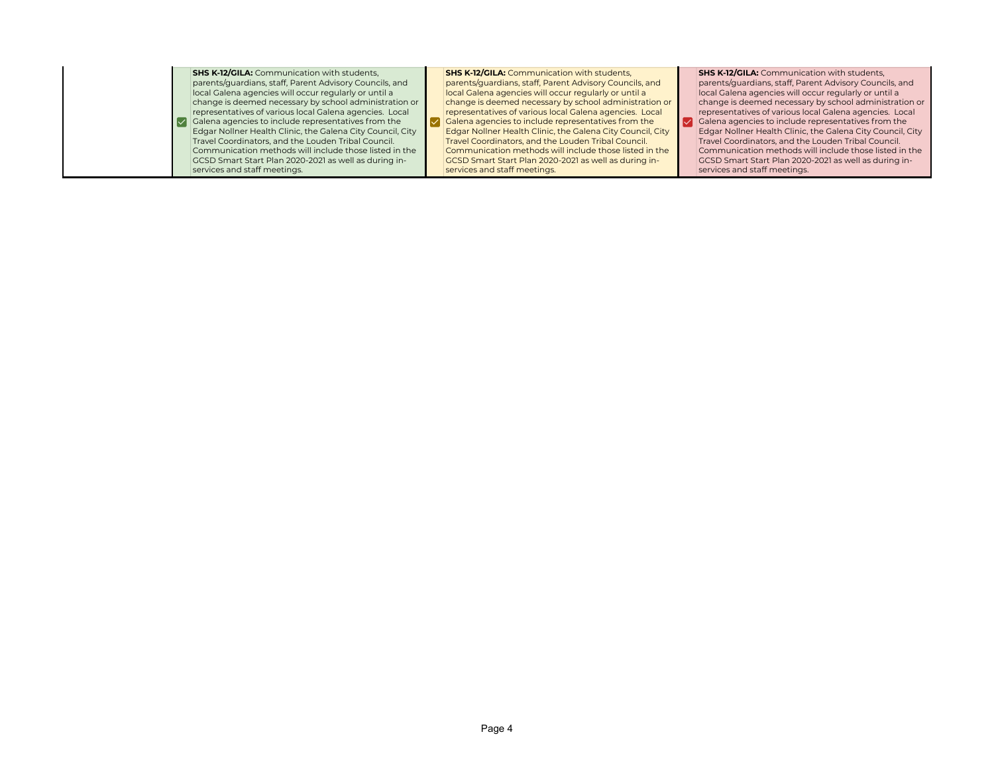**SHS K-12/GILA:** Communication with students, parents/guardians, staff, Parent Advisory Councils, and local Galena agencies will occur regularly or until a change is deemed necessary by school administration or representatives of various local Galena agencies. Local Galena agencies to include representatives from the  $\overline{\mathbf{v}}$ Edgar Nollner Health Clinic, the Galena City Council, City Travel Coordinators, and the Louden Tribal Council. Communication methods will include those listed in the GCSD Smart Start Plan 2020-2021 as well as during inservices and staff meetings.

**SHS K-12/GILA:** Communication with students, parents/guardians, staff, Parent Advisory Councils, and local Galena agencies will occur regularly or until a change is deemed necessary by school administration or representatives of various local Galena agencies. Local Galena agencies to include representatives from the Edgar Nollner Health Clinic, the Galena City Council, City Travel Coordinators, and the Louden Tribal Council. Communication methods will include those listed in the GCSD Smart Start Plan 2020-2021 as well as during inservices and staff meetings.

**SHS K-12/GILA:** Communication with students, parents/guardians, staff, Parent Advisory Councils, and local Galena agencies will occur regularly or until a change is deemed necessary by school administration or representatives of various local Galena agencies. Local Galena agencies to include representatives from the Edgar Nollner Health Clinic, the Galena City Council, City Travel Coordinators, and the Louden Tribal Council. Communication methods will include those listed in the GCSD Smart Start Plan 2020-2021 as well as during inservices and staff meetings.

☑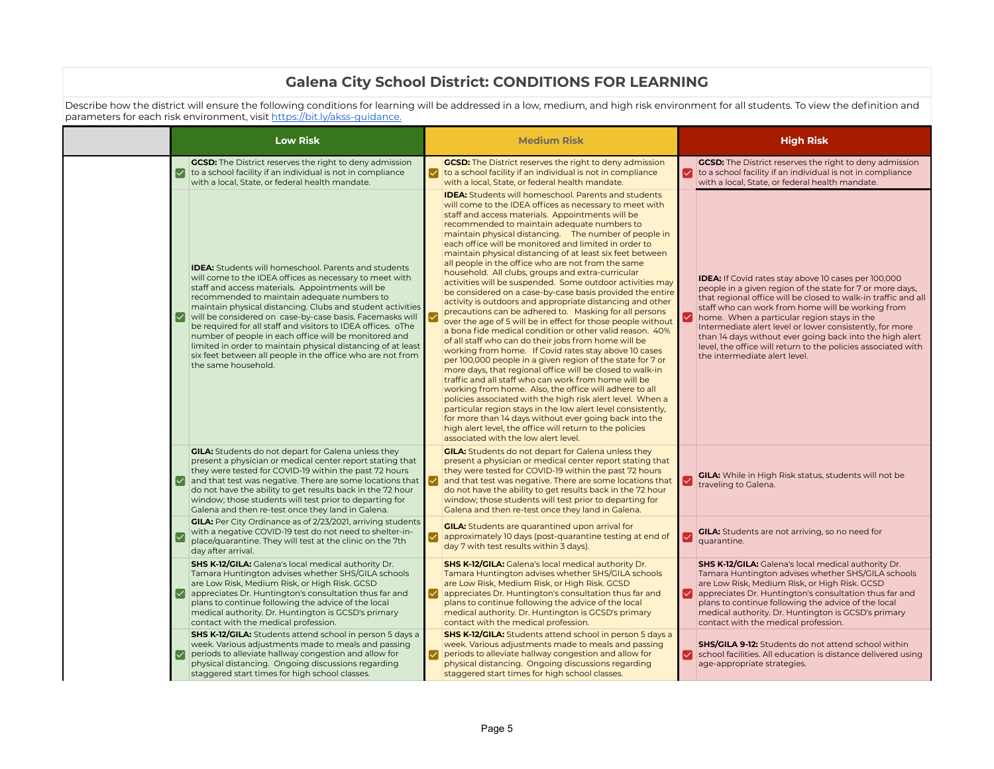## **Galena City School District: CONDITIONS FOR LEARNING**

Describe how the district will ensure the following conditions for learning will be addressed in a low, medium, and high risk environment for all students. To view the definition and parameters for each risk environment, visit <u>https://bit.ly/akss-guidance.</u>

|   | <b>Low Risk</b>                                                                                                                                                                                                                                                                                                                                                                                                                                                                                                                                                                                                                   |   | <b>Medium Risk</b>                                                                                                                                                                                                                                                                                                                                                                                                                                                                                                                                                                                                                                                                                                                                                                                                                                                                                                                                                                                                                                                                                                                                                                                                                                                                                                                                                                                                                                                                                                                                         |    | <b>High Risk</b>                                                                                                                                                                                                                                                                                                                                                                                                                                                                                                         |
|---|-----------------------------------------------------------------------------------------------------------------------------------------------------------------------------------------------------------------------------------------------------------------------------------------------------------------------------------------------------------------------------------------------------------------------------------------------------------------------------------------------------------------------------------------------------------------------------------------------------------------------------------|---|------------------------------------------------------------------------------------------------------------------------------------------------------------------------------------------------------------------------------------------------------------------------------------------------------------------------------------------------------------------------------------------------------------------------------------------------------------------------------------------------------------------------------------------------------------------------------------------------------------------------------------------------------------------------------------------------------------------------------------------------------------------------------------------------------------------------------------------------------------------------------------------------------------------------------------------------------------------------------------------------------------------------------------------------------------------------------------------------------------------------------------------------------------------------------------------------------------------------------------------------------------------------------------------------------------------------------------------------------------------------------------------------------------------------------------------------------------------------------------------------------------------------------------------------------------|----|--------------------------------------------------------------------------------------------------------------------------------------------------------------------------------------------------------------------------------------------------------------------------------------------------------------------------------------------------------------------------------------------------------------------------------------------------------------------------------------------------------------------------|
| ☑ | <b>GCSD:</b> The District reserves the right to deny admission<br>to a school facility if an individual is not in compliance<br>with a local. State, or federal health mandate.                                                                                                                                                                                                                                                                                                                                                                                                                                                   | M | <b>GCSD:</b> The District reserves the right to deny admission<br>to a school facility if an individual is not in compliance<br>with a local. State, or federal health mandate.                                                                                                                                                                                                                                                                                                                                                                                                                                                                                                                                                                                                                                                                                                                                                                                                                                                                                                                                                                                                                                                                                                                                                                                                                                                                                                                                                                            | ✓  | <b>GCSD:</b> The District reserves the right to deny admission<br>to a school facility if an individual is not in compliance<br>with a local. State, or federal health mandate.                                                                                                                                                                                                                                                                                                                                          |
|   | <b>IDEA:</b> Students will homeschool. Parents and students<br>will come to the IDEA offices as necessary to meet with<br>staff and access materials. Appointments will be<br>recommended to maintain adequate numbers to<br>maintain physical distancing. Clubs and student activities<br>will be considered on case-by-case basis. Facemasks will<br>be required for all staff and visitors to IDEA offices. oThe<br>number of people in each office will be monitored and<br>limited in order to maintain physical distancing of at least<br>six feet between all people in the office who are not from<br>the same household. |   | <b>IDEA:</b> Students will homeschool. Parents and students<br>will come to the IDEA offices as necessary to meet with<br>staff and access materials. Appointments will be<br>recommended to maintain adequate numbers to<br>maintain physical distancing. The number of people in<br>each office will be monitored and limited in order to<br>maintain physical distancing of at least six feet between<br>all people in the office who are not from the same<br>household. All clubs, groups and extra-curricular<br>activities will be suspended. Some outdoor activities may<br>be considered on a case-by-case basis provided the entire<br>activity is outdoors and appropriate distancing and other<br>precautions can be adhered to. Masking for all persons<br>over the age of 5 will be in effect for those people without<br>a bona fide medical condition or other valid reason. 40%<br>of all staff who can do their jobs from home will be<br>working from home. If Covid rates stay above 10 cases<br>per 100,000 people in a given region of the state for 7 or<br>more days, that regional office will be closed to walk-in<br>traffic and all staff who can work from home will be<br>working from home. Also, the office will adhere to all<br>policies associated with the high risk alert level. When a<br>particular region stays in the low alert level consistently,<br>for more than 14 days without ever going back into the<br>high alert level, the office will return to the policies<br>associated with the low alert level. | ∨  | <b>IDEA:</b> If Covid rates stay above 10 cases per 100,000<br>people in a given region of the state for 7 or more days,<br>that regional office will be closed to walk-in traffic and all<br>staff who can work from home will be working from<br>home. When a particular region stays in the<br>Intermediate alert level or lower consistently, for more<br>than 14 days without ever going back into the high alert<br>level, the office will return to the policies associated with<br>the intermediate alert level. |
|   | <b>GILA:</b> Students do not depart for Galena unless they<br>present a physician or medical center report stating that<br>they were tested for COVID-19 within the past 72 hours<br>$\vee$ and that test was negative. There are some locations that $\vee$<br>do not have the ability to get results back in the 72 hour<br>window; those students will test prior to departing for<br>Galena and then re-test once they land in Galena.                                                                                                                                                                                        |   | <b>GILA:</b> Students do not depart for Galena unless they<br>present a physician or medical center report stating that<br>they were tested for COVID-19 within the past 72 hours<br>and that test was negative. There are some locations that<br>do not have the ability to get results back in the 72 hour<br>window; those students will test prior to departing for<br>Galena and then re-test once they land in Galena.                                                                                                                                                                                                                                                                                                                                                                                                                                                                                                                                                                                                                                                                                                                                                                                                                                                                                                                                                                                                                                                                                                                               | Ⅳ  | <b>GILA:</b> While in High Risk status, students will not be<br>traveling to Galena.                                                                                                                                                                                                                                                                                                                                                                                                                                     |
|   | <b>GILA:</b> Per City Ordinance as of 2/23/2021, arriving students<br>with a negative COVID-19 test do not need to shelter-in-<br>place/quarantine. They will test at the clinic on the 7th<br>day after arrival.                                                                                                                                                                                                                                                                                                                                                                                                                 |   | <b>GILA:</b> Students are quarantined upon arrival for<br>approximately 10 days (post-quarantine testing at end of<br>day 7 with test results within 3 days).                                                                                                                                                                                                                                                                                                                                                                                                                                                                                                                                                                                                                                                                                                                                                                                                                                                                                                                                                                                                                                                                                                                                                                                                                                                                                                                                                                                              | ∣✓ | <b>GILA:</b> Students are not arriving, so no need for<br>quarantine.                                                                                                                                                                                                                                                                                                                                                                                                                                                    |
|   | <b>SHS K-12/GILA:</b> Galena's local medical authority Dr.<br>Tamara Huntington advises whether SHS/GILA schools<br>are Low Risk, Medium Risk, or High Risk. GCSD<br>appreciates Dr. Huntington's consultation thus far and<br>plans to continue following the advice of the local<br>medical authority. Dr. Huntington is GCSD's primary<br>contact with the medical profession.                                                                                                                                                                                                                                                 |   | <b>SHS K-12/GILA:</b> Galena's local medical authority Dr.<br>Tamara Huntington advises whether SHS/GILA schools<br>are Low Risk, Medium Risk, or High Risk. GCSD<br>appreciates Dr. Huntington's consultation thus far and<br>plans to continue following the advice of the local<br>medical authority. Dr. Huntington is GCSD's primary<br>contact with the medical profession.                                                                                                                                                                                                                                                                                                                                                                                                                                                                                                                                                                                                                                                                                                                                                                                                                                                                                                                                                                                                                                                                                                                                                                          | ∨  | <b>SHS K-12/GILA:</b> Galena's local medical authority Dr.<br>Tamara Huntington advises whether SHS/GILA schools<br>are Low Risk, Medium Risk, or High Risk. GCSD<br>appreciates Dr. Huntington's consultation thus far and<br>plans to continue following the advice of the local<br>medical authority. Dr. Huntington is GCSD's primary<br>contact with the medical profession.                                                                                                                                        |
| M | <b>SHS K-12/GILA:</b> Students attend school in person 5 days a<br>week. Various adjustments made to meals and passing<br>periods to alleviate hallway congestion and allow for<br>physical distancing. Ongoing discussions regarding<br>staggered start times for high school classes.                                                                                                                                                                                                                                                                                                                                           | ∨ | <b>SHS K-12/GILA:</b> Students attend school in person 5 days a<br>week. Various adjustments made to meals and passing<br>periods to alleviate hallway congestion and allow for<br>physical distancing. Ongoing discussions regarding<br>staggered start times for high school classes.                                                                                                                                                                                                                                                                                                                                                                                                                                                                                                                                                                                                                                                                                                                                                                                                                                                                                                                                                                                                                                                                                                                                                                                                                                                                    | M  | <b>SHS/GILA 9-12:</b> Students do not attend school within<br>school facilities. All education is distance delivered using<br>age-appropriate strategies.                                                                                                                                                                                                                                                                                                                                                                |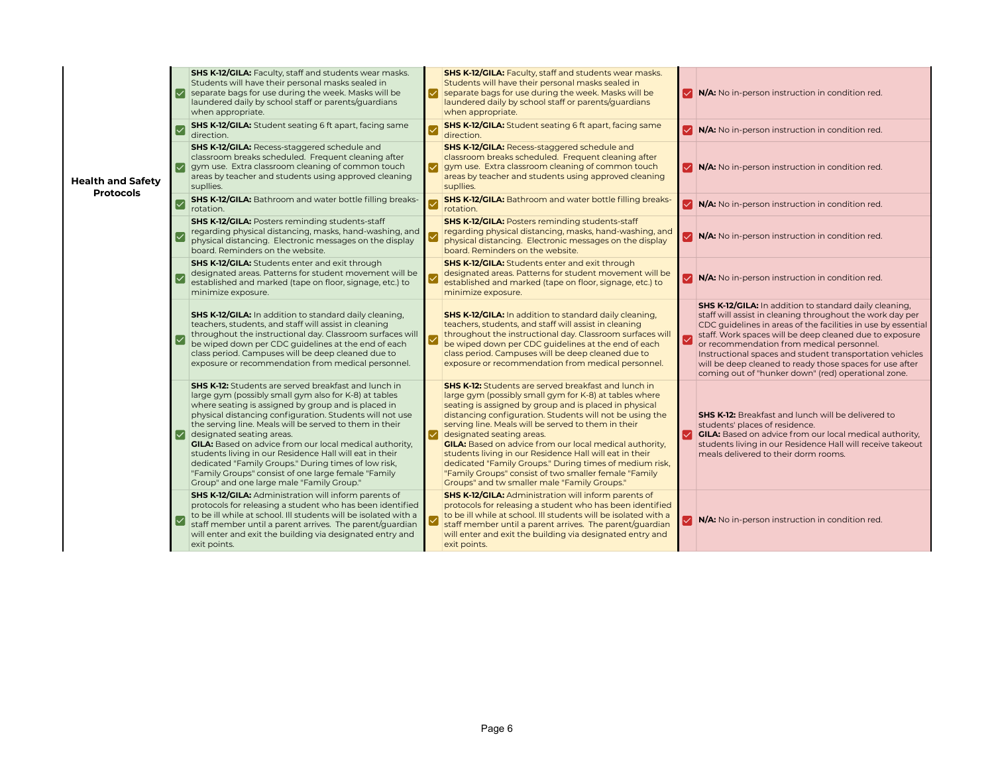|                                              | Ⅳ   | <b>SHS K-12/GILA:</b> Faculty, staff and students wear masks.<br>Students will have their personal masks sealed in<br>separate bags for use during the week. Masks will be<br>laundered daily by school staff or parents/quardians<br>when appropriate.                                                                                                                                                                                                                                                                                                                                                                  | ✓ | <b>SHS K-12/GILA:</b> Faculty, staff and students wear masks.<br>Students will have their personal masks sealed in<br>separate bags for use during the week. Masks will be<br>laundered daily by school staff or parents/quardians<br>when appropriate.                                                                                                                                                                                                                                                                                                                                                                          | ◡                       | N/A: No in-person instruction in condition red.                                                                                                                                                                                                                                                                                                                                                                                                                             |
|----------------------------------------------|-----|--------------------------------------------------------------------------------------------------------------------------------------------------------------------------------------------------------------------------------------------------------------------------------------------------------------------------------------------------------------------------------------------------------------------------------------------------------------------------------------------------------------------------------------------------------------------------------------------------------------------------|---|----------------------------------------------------------------------------------------------------------------------------------------------------------------------------------------------------------------------------------------------------------------------------------------------------------------------------------------------------------------------------------------------------------------------------------------------------------------------------------------------------------------------------------------------------------------------------------------------------------------------------------|-------------------------|-----------------------------------------------------------------------------------------------------------------------------------------------------------------------------------------------------------------------------------------------------------------------------------------------------------------------------------------------------------------------------------------------------------------------------------------------------------------------------|
|                                              |     | <b>SHS K-12/GILA:</b> Student seating 6 ft apart, facing same<br>direction.                                                                                                                                                                                                                                                                                                                                                                                                                                                                                                                                              |   | <b>SHS K-12/GILA:</b> Student seating 6 ft apart, facing same<br>direction.                                                                                                                                                                                                                                                                                                                                                                                                                                                                                                                                                      |                         | V N/A: No in-person instruction in condition red.                                                                                                                                                                                                                                                                                                                                                                                                                           |
| <b>Health and Safety</b><br><b>Protocols</b> |     | SHS K-12/GILA: Recess-staggered schedule and<br>classroom breaks scheduled. Frequent cleaning after<br>gym use. Extra classroom cleaning of common touch<br>areas by teacher and students using approved cleaning<br>supllies.                                                                                                                                                                                                                                                                                                                                                                                           | ✓ | <b>SHS K-12/GILA: Recess-staggered schedule and</b><br>classroom breaks scheduled. Frequent cleaning after<br>gym use. Extra classroom cleaning of common touch<br>areas by teacher and students using approved cleaning<br>supllies.                                                                                                                                                                                                                                                                                                                                                                                            | $\vert\mathcal{S}\vert$ | N/A: No in-person instruction in condition red.                                                                                                                                                                                                                                                                                                                                                                                                                             |
|                                              |     | <b>SHS K-12/GILA:</b> Bathroom and water bottle filling breaks-<br>rotation.                                                                                                                                                                                                                                                                                                                                                                                                                                                                                                                                             |   | <b>SHS K-12/GILA:</b> Bathroom and water bottle filling breaks-<br>rotation.                                                                                                                                                                                                                                                                                                                                                                                                                                                                                                                                                     |                         | V N/A: No in-person instruction in condition red.                                                                                                                                                                                                                                                                                                                                                                                                                           |
|                                              |     | <b>SHS K-12/GILA: Posters reminding students-staff</b><br>regarding physical distancing, masks, hand-washing, and<br>physical distancing. Electronic messages on the display<br>board. Reminders on the website.                                                                                                                                                                                                                                                                                                                                                                                                         |   | <b>SHS K-12/GILA: Posters reminding students-staff</b><br>regarding physical distancing, masks, hand-washing, and<br>physical distancing. Electronic messages on the display<br>board. Reminders on the website.                                                                                                                                                                                                                                                                                                                                                                                                                 | $\blacktriangledown$    | N/A: No in-person instruction in condition red.                                                                                                                                                                                                                                                                                                                                                                                                                             |
|                                              |     | <b>SHS K-12/GILA:</b> Students enter and exit through<br>designated areas. Patterns for student movement will be<br>established and marked (tape on floor, signage, etc.) to<br>minimize exposure.                                                                                                                                                                                                                                                                                                                                                                                                                       |   | <b>SHS K-12/GILA:</b> Students enter and exit through<br>designated areas. Patterns for student movement will be<br>established and marked (tape on floor, signage, etc.) to<br>minimize exposure.                                                                                                                                                                                                                                                                                                                                                                                                                               |                         | N/A: No in-person instruction in condition red.                                                                                                                                                                                                                                                                                                                                                                                                                             |
|                                              |     | <b>SHS K-12/GILA:</b> In addition to standard daily cleaning,<br>teachers, students, and staff will assist in cleaning<br>throughout the instructional day. Classroom surfaces will<br>be wiped down per CDC quidelines at the end of each<br>class period. Campuses will be deep cleaned due to<br>exposure or recommendation from medical personnel.                                                                                                                                                                                                                                                                   |   | <b>SHS K-12/GILA:</b> In addition to standard daily cleaning,<br>teachers, students, and staff will assist in cleaning<br>throughout the instructional day. Classroom surfaces will<br>be wiped down per CDC guidelines at the end of each<br>class period. Campuses will be deep cleaned due to<br>exposure or recommendation from medical personnel.                                                                                                                                                                                                                                                                           |                         | SHS K-12/GILA: In addition to standard daily cleaning,<br>staff will assist in cleaning throughout the work day per<br>CDC guidelines in areas of the facilities in use by essential<br>staff. Work spaces will be deep cleaned due to exposure<br>or recommendation from medical personnel.<br>Instructional spaces and student transportation vehicles<br>will be deep cleaned to ready those spaces for use after<br>coming out of "hunker down" (red) operational zone. |
|                                              | I∨l | <b>SHS K-12:</b> Students are served breakfast and lunch in<br>large gym (possibly small gym also for K-8) at tables<br>where seating is assigned by group and is placed in<br>physical distancing configuration. Students will not use<br>the serving line. Meals will be served to them in their<br>designated seating areas.<br><b>GILA:</b> Based on advice from our local medical authority,<br>students living in our Residence Hall will eat in their<br>dedicated "Family Groups." During times of low risk,<br>"Family Groups" consist of one large female "Family<br>Group" and one large male "Family Group." | ✓ | <b>SHS K-12:</b> Students are served breakfast and lunch in<br>large gym (possibly small gym for K-8) at tables where<br>seating is assigned by group and is placed in physical<br>distancing configuration. Students will not be using the<br>serving line. Meals will be served to them in their<br>designated seating areas.<br><b>GILA:</b> Based on advice from our local medical authority,<br>students living in our Residence Hall will eat in their<br>dedicated "Family Groups." During times of medium risk,<br>"Family Groups" consist of two smaller female "Family<br>Groups" and tw smaller male "Family Groups." | $\overline{\mathbf{v}}$ | <b>SHS K-12:</b> Breakfast and lunch will be delivered to<br>students' places of residence.<br><b>GILA:</b> Based on advice from our local medical authority,<br>students living in our Residence Hall will receive takeout<br>meals delivered to their dorm rooms.                                                                                                                                                                                                         |
|                                              |     | <b>SHS K-12/GILA: Administration will inform parents of</b><br>protocols for releasing a student who has been identified<br>to be ill while at school. Ill students will be isolated with a<br>staff member until a parent arrives. The parent/guardian<br>will enter and exit the building via designated entry and<br>exit points.                                                                                                                                                                                                                                                                                     |   | <b>SHS K-12/GILA: Administration will inform parents of</b><br>protocols for releasing a student who has been identified<br>to be ill while at school. Ill students will be isolated with a<br>staff member until a parent arrives. The parent/guardian<br>will enter and exit the building via designated entry and<br>exit points.                                                                                                                                                                                                                                                                                             |                         | N/A: No in-person instruction in condition red.                                                                                                                                                                                                                                                                                                                                                                                                                             |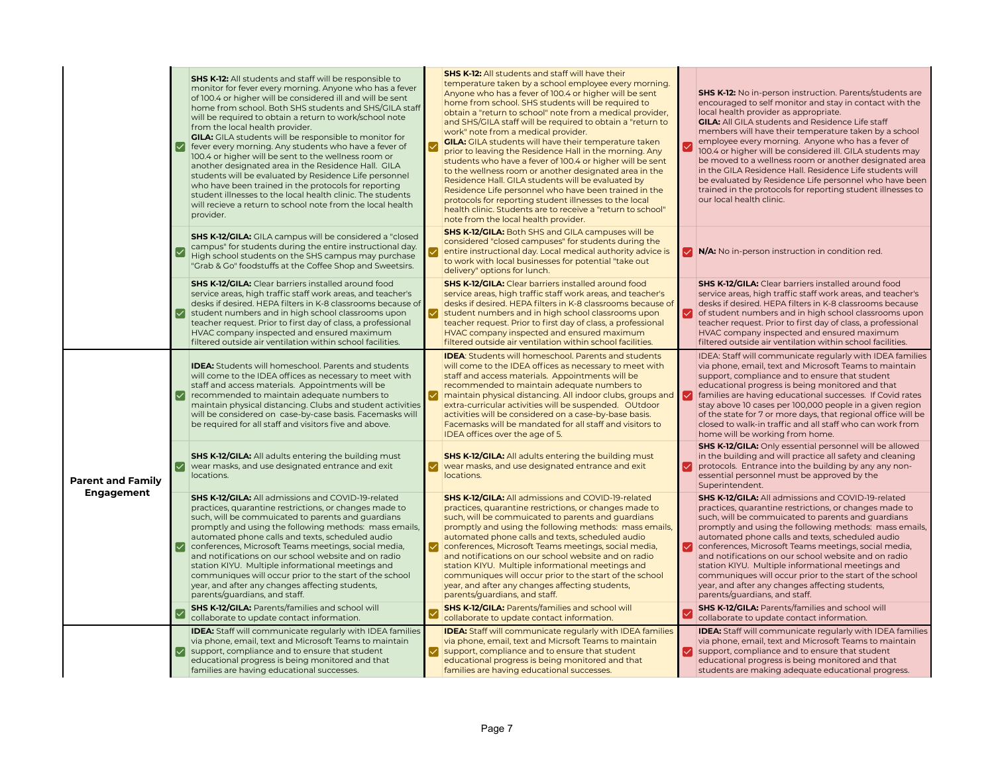|                          | ⋈ | <b>SHS K-12:</b> All students and staff will be responsible to<br>monitor for fever every morning. Anyone who has a fever<br>of 100.4 or higher will be considered ill and will be sent<br>home from school. Both SHS students and SHS/GILA staff<br>will be required to obtain a return to work/school note<br>from the local health provider.<br><b>GILA:</b> GILA students will be responsible to monitor for<br>fever every morning. Any students who have a fever of<br>100.4 or higher will be sent to the wellness room or<br>another designated area in the Residence Hall. GILA<br>students will be evaluated by Residence Life personnel<br>who have been trained in the protocols for reporting<br>student illnesses to the local health clinic. The students<br>will recieve a return to school note from the local health<br>provider. |     | <b>SHS K-12:</b> All students and staff will have their<br>temperature taken by a school employee every morning.<br>Anyone who has a fever of 100.4 or higher will be sent<br>home from school. SHS students will be required to<br>obtain a "return to school" note from a medical provider,<br>and SHS/GILA staff will be required to obtain a "return to<br>work" note from a medical provider.<br><b>GILA:</b> GILA students will have their temperature taken<br>prior to leaving the Residence Hall in the morning. Any<br>students who have a fever of 100.4 or higher will be sent<br>to the wellness room or another designated area in the<br>Residence Hall. GILA students will be evaluated by<br>Residence Life personnel who have been trained in the<br>protocols for reporting student illnesses to the local<br>health clinic. Students are to receive a "return to school"<br>note from the local health provider. | √ | <b>SHS K-12:</b> No in-person instruction. Parents/students are<br>encouraged to self monitor and stay in contact with the<br>local health provider as appropriate.<br><b>GILA:</b> All GILA students and Residence Life staff<br>members will have their temperature taken by a school<br>employee every morning. Anyone who has a fever of<br>100.4 or higher will be considered ill. GILA students may<br>be moved to a wellness room or another designated area<br>in the GILA Residence Hall. Residence Life students will<br>be evaluated by Residence Life personnel who have been<br>trained in the protocols for reporting student illnesses to<br>our local health clinic. |
|--------------------------|---|-----------------------------------------------------------------------------------------------------------------------------------------------------------------------------------------------------------------------------------------------------------------------------------------------------------------------------------------------------------------------------------------------------------------------------------------------------------------------------------------------------------------------------------------------------------------------------------------------------------------------------------------------------------------------------------------------------------------------------------------------------------------------------------------------------------------------------------------------------|-----|--------------------------------------------------------------------------------------------------------------------------------------------------------------------------------------------------------------------------------------------------------------------------------------------------------------------------------------------------------------------------------------------------------------------------------------------------------------------------------------------------------------------------------------------------------------------------------------------------------------------------------------------------------------------------------------------------------------------------------------------------------------------------------------------------------------------------------------------------------------------------------------------------------------------------------------|---|--------------------------------------------------------------------------------------------------------------------------------------------------------------------------------------------------------------------------------------------------------------------------------------------------------------------------------------------------------------------------------------------------------------------------------------------------------------------------------------------------------------------------------------------------------------------------------------------------------------------------------------------------------------------------------------|
|                          |   | <b>SHS K-12/GILA:</b> GILA campus will be considered a "closed<br>campus" for students during the entire instructional day.<br>High school students on the SHS campus may purchase<br>"Grab & Go" foodstuffs at the Coffee Shop and Sweetsirs.                                                                                                                                                                                                                                                                                                                                                                                                                                                                                                                                                                                                      |     | <b>SHS K-12/GILA:</b> Both SHS and GILA campuses will be<br>considered "closed campuses" for students during the<br>entire instructional day. Local medical authority advice is<br>to work with local businesses for potential "take out<br>delivery" options for lunch.                                                                                                                                                                                                                                                                                                                                                                                                                                                                                                                                                                                                                                                             |   | V N/A: No in-person instruction in condition red.                                                                                                                                                                                                                                                                                                                                                                                                                                                                                                                                                                                                                                    |
|                          |   | <b>SHS K-12/GILA:</b> Clear barriers installed around food<br>service areas, high traffic staff work areas, and teacher's<br>desks if desired. HEPA filters in K-8 classrooms because of<br>student numbers and in high school classrooms upon<br>teacher request. Prior to first day of class, a professional<br>HVAC company inspected and ensured maximum<br>filtered outside air ventilation within school facilities.                                                                                                                                                                                                                                                                                                                                                                                                                          | ✓   | <b>SHS K-12/GILA:</b> Clear barriers installed around food<br>service areas, high traffic staff work areas, and teacher's<br>desks if desired. HEPA filters in K-8 classrooms because of<br>student numbers and in high school classrooms upon<br>teacher request. Prior to first day of class, a professional<br>HVAC company inspected and ensured maximum<br>filtered outside air ventilation within school facilities.                                                                                                                                                                                                                                                                                                                                                                                                                                                                                                           |   | <b>SHS K-12/GILA:</b> Clear barriers installed around food<br>service areas, high traffic staff work areas, and teacher's<br>desks if desired. HEPA filters in K-8 classrooms because<br>of student numbers and in high school classrooms upon<br>teacher request. Prior to first day of class, a professional<br>HVAC company inspected and ensured maximum<br>filtered outside air ventilation within school facilities.                                                                                                                                                                                                                                                           |
|                          |   | <b>IDEA:</b> Students will homeschool. Parents and students<br>will come to the IDEA offices as necessary to meet with<br>staff and access materials. Appointments will be<br>recommended to maintain adequate numbers to<br>maintain physical distancing. Clubs and student activities<br>will be considered on case-by-case basis. Facemasks will<br>be required for all staff and visitors five and above.                                                                                                                                                                                                                                                                                                                                                                                                                                       | ∣✓∣ | <b>IDEA:</b> Students will homeschool. Parents and students<br>will come to the IDEA offices as necessary to meet with<br>staff and access materials. Appointments will be<br>recommended to maintain adequate numbers to<br>maintain physical distancing. All indoor clubs, groups and $\vert \triangledown$<br>extra-curricular activities will be suspended. OUtdoor<br>activities will be considered on a case-by-base basis.<br>Facemasks will be mandated for all staff and visitors to<br>IDEA offices over the age of 5.                                                                                                                                                                                                                                                                                                                                                                                                     |   | IDEA: Staff will communicate regularly with IDEA families<br>via phone, email, text and Microsoft Teams to maintain<br>support, compliance and to ensure that student<br>educational progress is being monitored and that<br>families are having educational successes. If Covid rates<br>stay above 10 cases per 100,000 people in a given region<br>of the state for 7 or more days, that regional office will be<br>closed to walk-in traffic and all staff who can work from<br>home will be working from home.                                                                                                                                                                  |
| <b>Parent and Family</b> | ✓ | <b>SHS K-12/GILA:</b> All adults entering the building must<br>wear masks, and use designated entrance and exit<br>locations.                                                                                                                                                                                                                                                                                                                                                                                                                                                                                                                                                                                                                                                                                                                       | M   | SHS K-12/GILA: All adults entering the building must<br>wear masks, and use designated entrance and exit<br>locations.                                                                                                                                                                                                                                                                                                                                                                                                                                                                                                                                                                                                                                                                                                                                                                                                               |   | <b>SHS K-12/GILA:</b> Only essential personnel will be allowed<br>in the building and will practice all safety and cleaning<br>protocols. Entrance into the building by any any non-<br>essential personnel must be approved by the<br>Superintendent.                                                                                                                                                                                                                                                                                                                                                                                                                               |
| <b>Engagement</b>        |   | <b>SHS K-12/GILA:</b> All admissions and COVID-19-related<br>practices, quarantine restrictions, or changes made to<br>such, will be commuicated to parents and quardians<br>promptly and using the following methods: mass emails,<br>automated phone calls and texts, scheduled audio<br>O conferences, Microsoft Teams meetings, social media,<br>and notifications on our school website and on radio<br>station KIYU. Multiple informational meetings and<br>communiques will occur prior to the start of the school<br>year, and after any changes affecting students,<br>parents/guardians, and staff.                                                                                                                                                                                                                                       | ⋈   | <b>SHS K-12/GILA: All admissions and COVID-19-related</b><br>practices, quarantine restrictions, or changes made to<br>such, will be commuicated to parents and quardians<br>promptly and using the following methods: mass emails,<br>automated phone calls and texts, scheduled audio<br>conferences, Microsoft Teams meetings, social media,<br>and notifications on our school website and on radio<br>station KIYU. Multiple informational meetings and<br>communiques will occur prior to the start of the school<br>year, and after any changes affecting students,<br>parents/quardians, and staff.                                                                                                                                                                                                                                                                                                                          | ☑ | <b>SHS K-12/GILA: All admissions and COVID-19-related</b><br>practices, quarantine restrictions, or changes made to<br>such, will be commuicated to parents and quardians<br>promptly and using the following methods: mass emails,<br>automated phone calls and texts, scheduled audio<br>conferences, Microsoft Teams meetings, social media,<br>and notifications on our school website and on radio<br>station KIYU. Multiple informational meetings and<br>communiques will occur prior to the start of the school<br>year, and after any changes affecting students,<br>parents/guardians, and staff.                                                                          |
|                          |   | <b>SHS K-12/GILA: Parents/families and school will</b><br>collaborate to update contact information.                                                                                                                                                                                                                                                                                                                                                                                                                                                                                                                                                                                                                                                                                                                                                |     | <b>SHS K-12/GILA: Parents/families and school will</b><br>collaborate to update contact information.                                                                                                                                                                                                                                                                                                                                                                                                                                                                                                                                                                                                                                                                                                                                                                                                                                 |   | <b>SHS K-12/GILA: Parents/families and school will</b><br>collaborate to update contact information.                                                                                                                                                                                                                                                                                                                                                                                                                                                                                                                                                                                 |
|                          |   | <b>IDEA:</b> Staff will communicate regularly with IDEA families<br>via phone, email, text and Microsoft Teams to maintain<br>support, compliance and to ensure that student<br>educational progress is being monitored and that<br>families are having educational successes.                                                                                                                                                                                                                                                                                                                                                                                                                                                                                                                                                                      |     | <b>IDEA:</b> Staff will communicate regularly with IDEA families<br>via phone, email, text and Micrsoft Teams to maintain<br>support, compliance and to ensure that student<br>educational progress is being monitored and that<br>families are having educational successes.                                                                                                                                                                                                                                                                                                                                                                                                                                                                                                                                                                                                                                                        |   | <b>IDEA:</b> Staff will communicate regularly with IDEA families<br>via phone, email, text and Microsoft Teams to maintain<br>support, compliance and to ensure that student<br>educational progress is being monitored and that<br>students are making adequate educational progress.                                                                                                                                                                                                                                                                                                                                                                                               |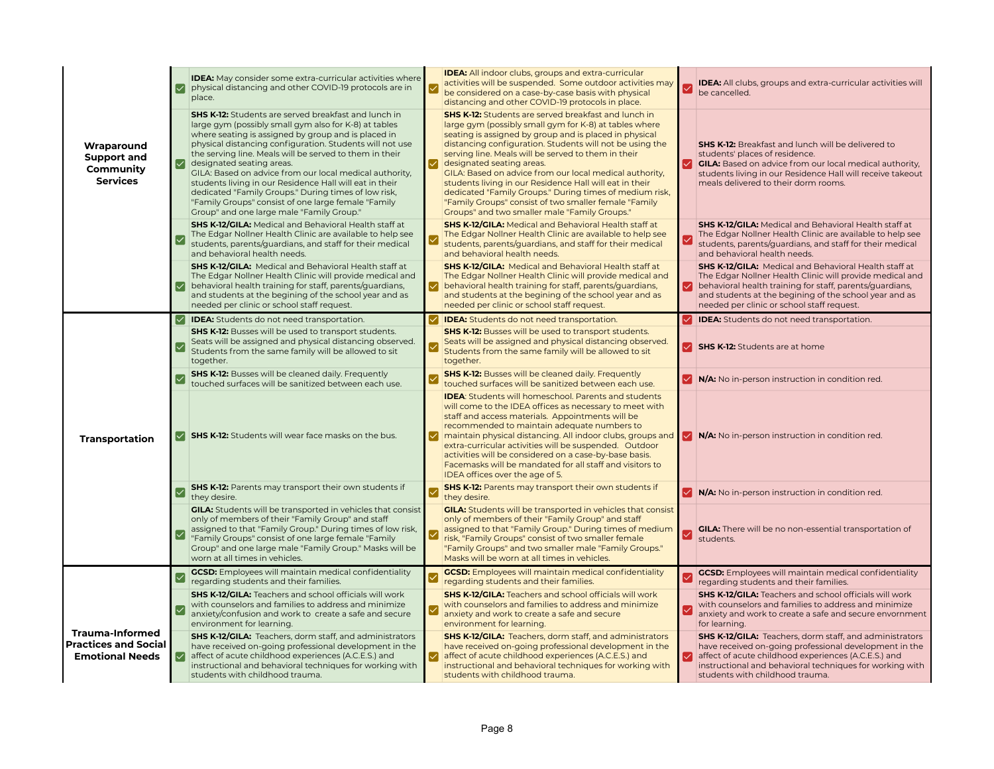|                                                                                 | ⋉                       | IDEA: May consider some extra-curricular activities where<br>physical distancing and other COVID-19 protocols are in<br>place.                                                                                                                                                                                                                                                                                                                                                                                                                                                                                    | <b>IDEA:</b> All indoor clubs, groups and extra-curricular<br>activities will be suspended. Some outdoor activities may<br>be considered on a case-by-case basis with physical<br>distancing and other COVID-19 protocols in place.                                                                                                                                                                                                                                                                                                                                                                                        |   | <b>IDEA:</b> All clubs, groups and extra-curricular activities will<br>be cancelled.                                                                                                                                                                                                         |
|---------------------------------------------------------------------------------|-------------------------|-------------------------------------------------------------------------------------------------------------------------------------------------------------------------------------------------------------------------------------------------------------------------------------------------------------------------------------------------------------------------------------------------------------------------------------------------------------------------------------------------------------------------------------------------------------------------------------------------------------------|----------------------------------------------------------------------------------------------------------------------------------------------------------------------------------------------------------------------------------------------------------------------------------------------------------------------------------------------------------------------------------------------------------------------------------------------------------------------------------------------------------------------------------------------------------------------------------------------------------------------------|---|----------------------------------------------------------------------------------------------------------------------------------------------------------------------------------------------------------------------------------------------------------------------------------------------|
| Wraparound<br><b>Support and</b><br>Community<br><b>Services</b>                | ∣✓                      | <b>SHS K-12:</b> Students are served breakfast and lunch in<br>large gym (possibly small gym also for K-8) at tables<br>where seating is assigned by group and is placed in<br>physical distancing configuration. Students will not use<br>the serving line. Meals will be served to them in their<br>designated seating areas.<br>GILA: Based on advice from our local medical authority,<br>students living in our Residence Hall will eat in their<br>dedicated "Family Groups." During times of low risk,<br>"Family Groups" consist of one large female "Family<br>Group" and one large male "Family Group." | <b>SHS K-12:</b> Students are served breakfast and lunch in<br>large gym (possibly small gym for K-8) at tables where<br>seating is assigned by group and is placed in physical<br>distancing configuration. Students will not be using the<br>serving line. Meals will be served to them in their<br>designated seating areas.<br>GILA: Based on advice from our local medical authority,<br>students living in our Residence Hall will eat in their<br>dedicated "Family Groups." During times of medium risk,<br>"Family Groups" consist of two smaller female "Family<br>Groups" and two smaller male "Family Groups." |   | <b>SHS K-12:</b> Breakfast and lunch will be delivered to<br>students' places of residence.<br><b>GILA:</b> Based on advice from our local medical authority,<br>students living in our Residence Hall will receive takeout<br>meals delivered to their dorm rooms.                          |
|                                                                                 | $\overline{\checkmark}$ | <b>SHS K-12/GILA: Medical and Behavioral Health staff at</b><br>The Edgar Nollner Health Clinic are available to help see<br>students, parents/guardians, and staff for their medical<br>and behavioral health needs.                                                                                                                                                                                                                                                                                                                                                                                             | <b>SHS K-12/GILA: Medical and Behavioral Health staff at</b><br>The Edgar Nollner Health Clinic are available to help see<br>students, parents/guardians, and staff for their medical<br>and behavioral health needs.                                                                                                                                                                                                                                                                                                                                                                                                      | ☑ | <b>SHS K-12/GILA:</b> Medical and Behavioral Health staff at<br>The Edgar Nollner Health Clinic are available to help see<br>students, parents/guardians, and staff for their medical<br>and behavioral health needs.                                                                        |
|                                                                                 | ∣✓∣                     | <b>SHS K-12/GILA: Medical and Behavioral Health staff at</b><br>The Edgar Nollner Health Clinic will provide medical and<br>behavioral health training for staff, parents/guardians,<br>and students at the begining of the school year and as<br>needed per clinic or school staff request.                                                                                                                                                                                                                                                                                                                      | <b>SHS K-12/GILA:</b> Medical and Behavioral Health staff at<br>The Edgar Nollner Health Clinic will provide medical and<br>behavioral health training for staff, parents/guardians,<br>and students at the begining of the school year and as<br>needed per clinic or school staff request.                                                                                                                                                                                                                                                                                                                               | M | <b>SHS K-12/GILA:</b> Medical and Behavioral Health staff at<br>The Edgar Nollner Health Clinic will provide medical and<br>behavioral health training for staff, parents/guardians,<br>and students at the begining of the school year and as<br>needed per clinic or school staff request. |
|                                                                                 | l✓l                     | <b>IDEA:</b> Students do not need transportation.                                                                                                                                                                                                                                                                                                                                                                                                                                                                                                                                                                 | <b>IDEA:</b> Students do not need transportation.                                                                                                                                                                                                                                                                                                                                                                                                                                                                                                                                                                          |   | <b>IDEA:</b> Students do not need transportation.                                                                                                                                                                                                                                            |
|                                                                                 | $\triangledown$         | <b>SHS K-12:</b> Busses will be used to transport students.<br>Seats will be assigned and physical distancing observed.<br>Students from the same family will be allowed to sit<br>together.                                                                                                                                                                                                                                                                                                                                                                                                                      | <b>SHS K-12:</b> Busses will be used to transport students.<br>Seats will be assigned and physical distancing observed.<br>Students from the same family will be allowed to sit<br>together.                                                                                                                                                                                                                                                                                                                                                                                                                               |   | SHS K-12: Students are at home                                                                                                                                                                                                                                                               |
|                                                                                 | $\checkmark$            | <b>SHS K-12:</b> Busses will be cleaned daily. Frequently<br>touched surfaces will be sanitized between each use.                                                                                                                                                                                                                                                                                                                                                                                                                                                                                                 | <b>SHS K-12:</b> Busses will be cleaned daily. Frequently<br>touched surfaces will be sanitized between each use.                                                                                                                                                                                                                                                                                                                                                                                                                                                                                                          | ⋈ | N/A: No in-person instruction in condition red.                                                                                                                                                                                                                                              |
| Transportation                                                                  |                         | SHS K-12: Students will wear face masks on the bus.                                                                                                                                                                                                                                                                                                                                                                                                                                                                                                                                                               | <b>IDEA:</b> Students will homeschool. Parents and students<br>will come to the IDEA offices as necessary to meet with<br>staff and access materials. Appointments will be<br>recommended to maintain adequate numbers to<br>maintain physical distancing. All indoor clubs, groups and<br>extra-curricular activities will be suspended. Outdoor<br>activities will be considered on a case-by-base basis.<br>Facemasks will be mandated for all staff and visitors to<br>IDEA offices over the age of 5.                                                                                                                 |   | <b>V</b> N/A: No in-person instruction in condition red.                                                                                                                                                                                                                                     |
|                                                                                 |                         | <b>SHS K-12:</b> Parents may transport their own students if<br>they desire.                                                                                                                                                                                                                                                                                                                                                                                                                                                                                                                                      | <b>SHS K-12:</b> Parents may transport their own students if<br>they desire.                                                                                                                                                                                                                                                                                                                                                                                                                                                                                                                                               |   | V N/A: No in-person instruction in condition red.                                                                                                                                                                                                                                            |
|                                                                                 | $\overline{\checkmark}$ | <b>GILA:</b> Students will be transported in vehicles that consist<br>only of members of their "Family Group" and staff<br>assigned to that "Family Group." During times of low risk,<br>"Family Groups" consist of one large female "Family<br>Group" and one large male "Family Group." Masks will be<br>worn at all times in vehicles.                                                                                                                                                                                                                                                                         | <b>GILA:</b> Students will be transported in vehicles that consist<br>only of members of their "Family Group" and staff<br>assigned to that "Family Group." During times of medium<br>risk, "Family Groups" consist of two smaller female<br>"Family Groups" and two smaller male "Family Groups."<br>Masks will be worn at all times in vehicles.                                                                                                                                                                                                                                                                         | ⊻ | <b>GILA:</b> There will be no non-essential transportation of<br>students.                                                                                                                                                                                                                   |
|                                                                                 | $\checkmark$            | <b>GCSD:</b> Employees will maintain medical confidentiality                                                                                                                                                                                                                                                                                                                                                                                                                                                                                                                                                      | <b>GCSD:</b> Employees will maintain medical confidentiality                                                                                                                                                                                                                                                                                                                                                                                                                                                                                                                                                               | Ⅳ | <b>GCSD:</b> Employees will maintain medical confidentiality                                                                                                                                                                                                                                 |
|                                                                                 | $\overline{\vee}$       | regarding students and their families.<br><b>SHS K-12/GILA:</b> Teachers and school officials will work<br>with counselors and families to address and minimize<br>anxiety/confusion and work to create a safe and secure<br>environment for learning.                                                                                                                                                                                                                                                                                                                                                            | regarding students and their families.<br><b>SHS K-12/GILA:</b> Teachers and school officials will work<br>with counselors and families to address and minimize<br>anxiety and work to create a safe and secure<br>environment for learning.                                                                                                                                                                                                                                                                                                                                                                               | Ⅳ | regarding students and their families.<br><b>SHS K-12/GILA:</b> Teachers and school officials will work<br>with counselors and families to address and minimize<br>anxiety and work to create a safe and secure envornment<br>for learning.                                                  |
| <b>Trauma-Informed</b><br><b>Practices and Social</b><br><b>Emotional Needs</b> | ∣✓∣                     | SHS K-12/GILA: Teachers, dorm staff, and administrators<br>have received on-going professional development in the<br>affect of acute childhood experiences (A.C.E.S.) and<br>instructional and behavioral techniques for working with<br>students with childhood trauma.                                                                                                                                                                                                                                                                                                                                          | <b>SHS K-12/GILA:</b> Teachers, dorm staff, and administrators<br>have received on-going professional development in the<br>affect of acute childhood experiences (A.C.E.S.) and<br>instructional and behavioral techniques for working with<br>students with childhood trauma.                                                                                                                                                                                                                                                                                                                                            | ☑ | <b>SHS K-12/GILA:</b> Teachers, dorm staff, and administrators<br>have received on-going professional development in the<br>affect of acute childhood experiences (A.C.E.S.) and<br>instructional and behavioral techniques for working with<br>students with childhood trauma.              |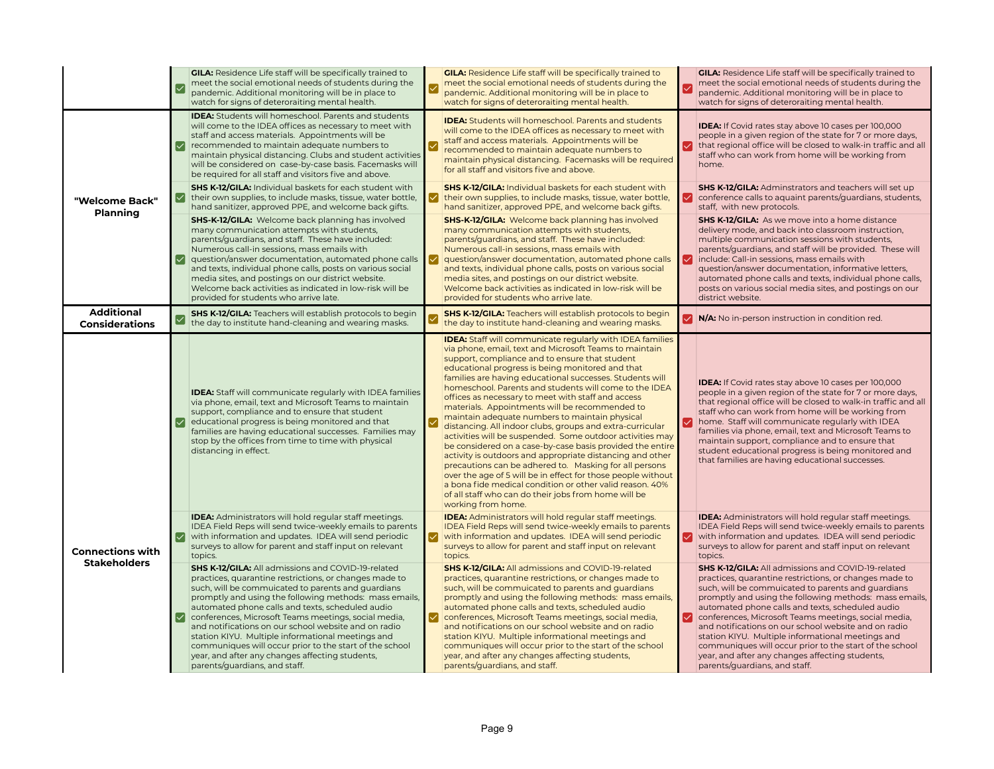|                                                |                          | <b>GILA:</b> Residence Life staff will be specifically trained to<br>meet the social emotional needs of students during the<br>pandemic. Additional monitoring will be in place to<br>watch for signs of deteroraiting mental health.                                                                                                                                                                                                                                                                                                                                                                       | ∣√ | <b>GILA:</b> Residence Life staff will be specifically trained to<br>meet the social emotional needs of students during the<br>pandemic. Additional monitoring will be in place to<br>watch for signs of deteroraiting mental health.                                                                                                                                                                                                                                                                                                                                                                                                                                                                                                                                                                                                                                                                                                                                                                                                    | ∣✓ | <b>GILA:</b> Residence Life staff will be specifically trained to<br>meet the social emotional needs of students during the<br>pandemic. Additional monitoring will be in place to<br>watch for signs of deteroraiting mental health.                                                                                                                                                                                                                                                                                                                                                                |
|------------------------------------------------|--------------------------|-------------------------------------------------------------------------------------------------------------------------------------------------------------------------------------------------------------------------------------------------------------------------------------------------------------------------------------------------------------------------------------------------------------------------------------------------------------------------------------------------------------------------------------------------------------------------------------------------------------|----|------------------------------------------------------------------------------------------------------------------------------------------------------------------------------------------------------------------------------------------------------------------------------------------------------------------------------------------------------------------------------------------------------------------------------------------------------------------------------------------------------------------------------------------------------------------------------------------------------------------------------------------------------------------------------------------------------------------------------------------------------------------------------------------------------------------------------------------------------------------------------------------------------------------------------------------------------------------------------------------------------------------------------------------|----|------------------------------------------------------------------------------------------------------------------------------------------------------------------------------------------------------------------------------------------------------------------------------------------------------------------------------------------------------------------------------------------------------------------------------------------------------------------------------------------------------------------------------------------------------------------------------------------------------|
|                                                | M                        | <b>IDEA:</b> Students will homeschool. Parents and students<br>will come to the IDEA offices as necessary to meet with<br>staff and access materials. Appointments will be<br>recommended to maintain adequate numbers to<br>maintain physical distancing. Clubs and student activities<br>will be considered on case-by-case basis. Facemasks will<br>be required for all staff and visitors five and above.                                                                                                                                                                                               |    | <b>IDEA:</b> Students will homeschool. Parents and students<br>will come to the IDEA offices as necessary to meet with<br>staff and access materials. Appointments will be<br>recommended to maintain adequate numbers to<br>maintain physical distancing. Facemasks will be required<br>for all staff and visitors five and above.                                                                                                                                                                                                                                                                                                                                                                                                                                                                                                                                                                                                                                                                                                      |    | IDEA: If Covid rates stay above 10 cases per 100,000<br>people in a given region of the state for 7 or more days,<br>that regional office will be closed to walk-in traffic and all<br>staff who can work from home will be working from<br>home.                                                                                                                                                                                                                                                                                                                                                    |
| "Welcome Back"<br>Planning                     | l✓l                      | <b>SHS K-12/GILA:</b> Individual baskets for each student with<br>their own supplies, to include masks, tissue, water bottle,<br>hand sanitizer, approved PPE, and welcome back gifts.                                                                                                                                                                                                                                                                                                                                                                                                                      |    | <b>SHS K-12/GILA:</b> Individual baskets for each student with<br>their own supplies, to include masks, tissue, water bottle,<br>hand sanitizer, approved PPE, and welcome back gifts.                                                                                                                                                                                                                                                                                                                                                                                                                                                                                                                                                                                                                                                                                                                                                                                                                                                   | ∨  | <b>SHS K-12/GILA: Adminstrators and teachers will set up</b><br>conference calls to aquaint parents/quardians, students,<br>staff, with new protocols.                                                                                                                                                                                                                                                                                                                                                                                                                                               |
|                                                | $ \mathcal{S} $          | <b>SHS-K-12/GILA:</b> Welcome back planning has involved<br>many communication attempts with students,<br>parents/guardians, and staff. These have included:<br>Numerous call-in sessions, mass emails with<br>question/answer documentation, automated phone calls<br>and texts, individual phone calls, posts on various social<br>media sites, and postings on our district website.<br>Welcome back activities as indicated in low-risk will be<br>provided for students who arrive late.                                                                                                               |    | <b>SHS-K-12/GILA:</b> Welcome back planning has involved<br>many communication attempts with students,<br>parents/guardians, and staff. These have included:<br>Numerous call-in sessions, mass emails with<br>question/answer documentation, automated phone calls<br>and texts, individual phone calls, posts on various social<br>media sites, and postings on our district website.<br>Welcome back activities as indicated in low-risk will be<br>provided for students who arrive late.                                                                                                                                                                                                                                                                                                                                                                                                                                                                                                                                            |    | <b>SHS K-12/GILA:</b> As we move into a home distance<br>delivery mode, and back into classroom instruction,<br>multiple communication sessions with students,<br>parents/guardians, and staff will be provided. These will<br>include: Call-in sessions, mass emails with<br>question/answer documentation, informative letters,<br>automated phone calls and texts, individual phone calls,<br>posts on various social media sites, and postings on our<br>district website.                                                                                                                       |
| <b>Additional</b><br><b>Considerations</b>     |                          | <b>SHS K-12/GILA:</b> Teachers will establish protocols to begin<br>the day to institute hand-cleaning and wearing masks.                                                                                                                                                                                                                                                                                                                                                                                                                                                                                   |    | <b>SHS K-12/GILA:</b> Teachers will establish protocols to begin<br>the day to institute hand-cleaning and wearing masks.                                                                                                                                                                                                                                                                                                                                                                                                                                                                                                                                                                                                                                                                                                                                                                                                                                                                                                                | ◡  | N/A: No in-person instruction in condition red.                                                                                                                                                                                                                                                                                                                                                                                                                                                                                                                                                      |
|                                                | $\overline{\mathcal{M}}$ | <b>IDEA:</b> Staff will communicate regularly with IDEA families<br>via phone, email, text and Microsoft Teams to maintain<br>support, compliance and to ensure that student<br>educational progress is being monitored and that<br>families are having educational successes. Families may<br>stop by the offices from time to time with physical<br>distancing in effect.                                                                                                                                                                                                                                 |    | <b>IDEA:</b> Staff will communicate regularly with IDEA families<br>via phone, email, text and Microsoft Teams to maintain<br>support, compliance and to ensure that student<br>educational progress is being monitored and that<br>families are having educational successes. Students will<br>homeschool. Parents and students will come to the IDEA<br>offices as necessary to meet with staff and access<br>materials. Appointments will be recommended to<br>maintain adequate numbers to maintain physical<br>distancing. All indoor clubs, groups and extra-curricular<br>activities will be suspended. Some outdoor activities may<br>be considered on a case-by-case basis provided the entire<br>activity is outdoors and appropriate distancing and other<br>precautions can be adhered to. Masking for all persons<br>over the age of 5 will be in effect for those people without<br>a bona fide medical condition or other valid reason. 40%<br>of all staff who can do their jobs from home will be<br>working from home. |    | <b>IDEA:</b> If Covid rates stay above 10 cases per 100,000<br>people in a given region of the state for 7 or more days,<br>that regional office will be closed to walk-in traffic and all<br>staff who can work from home will be working from<br>home. Staff will communicate regularly with IDEA<br>families via phone, email, text and Microsoft Teams to<br>maintain support, compliance and to ensure that<br>student educational progress is being monitored and<br>that families are having educational successes.                                                                           |
| <b>Connections with</b><br><b>Stakeholders</b> |                          | <b>IDEA:</b> Administrators will hold regular staff meetings.<br>IDEA Field Reps will send twice-weekly emails to parents<br>with information and updates. IDEA will send periodic<br>surveys to allow for parent and staff input on relevant<br>topics.                                                                                                                                                                                                                                                                                                                                                    |    | <b>IDEA:</b> Administrators will hold regular staff meetings.<br>IDEA Field Reps will send twice-weekly emails to parents<br>with information and updates. IDEA will send periodic<br>surveys to allow for parent and staff input on relevant<br>topics.                                                                                                                                                                                                                                                                                                                                                                                                                                                                                                                                                                                                                                                                                                                                                                                 | ⋈  | <b>IDEA:</b> Administrators will hold regular staff meetings.<br>IDEA Field Reps will send twice-weekly emails to parents<br>with information and updates. IDEA will send periodic<br>surveys to allow for parent and staff input on relevant<br>topics.                                                                                                                                                                                                                                                                                                                                             |
|                                                | M                        | <b>SHS K-12/GILA: All admissions and COVID-19-related</b><br>practices, quarantine restrictions, or changes made to<br>such, will be commuicated to parents and guardians<br>promptly and using the following methods: mass emails,<br>automated phone calls and texts, scheduled audio<br>conferences, Microsoft Teams meetings, social media,<br>and notifications on our school website and on radio<br>station KIYU. Multiple informational meetings and<br>communiques will occur prior to the start of the school<br>year, and after any changes affecting students,<br>parents/guardians, and staff. | ✓  | <b>SHS K-12/GILA: All admissions and COVID-19-related</b><br>practices, quarantine restrictions, or changes made to<br>such, will be commuicated to parents and guardians<br>promptly and using the following methods: mass emails,<br>automated phone calls and texts, scheduled audio<br>conferences, Microsoft Teams meetings, social media,<br>and notifications on our school website and on radio<br>station KIYU. Multiple informational meetings and<br>communiques will occur prior to the start of the school<br>year, and after any changes affecting students,<br>parents/guardians, and staff.                                                                                                                                                                                                                                                                                                                                                                                                                              | M  | SHS K-12/GILA: All admissions and COVID-19-related<br>practices, quarantine restrictions, or changes made to<br>such, will be commuicated to parents and guardians<br>promptly and using the following methods: mass emails,<br>automated phone calls and texts, scheduled audio<br>conferences, Microsoft Teams meetings, social media,<br>and notifications on our school website and on radio<br>station KIYU. Multiple informational meetings and<br>communiques will occur prior to the start of the school<br>year, and after any changes affecting students,<br>parents/guardians, and staff. |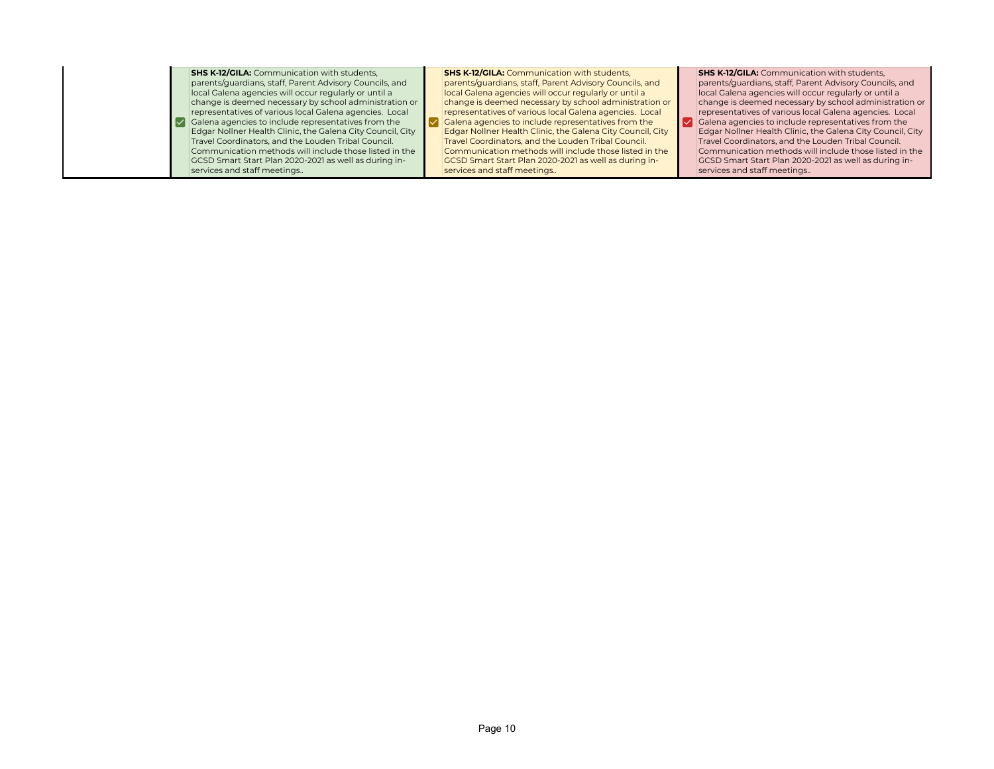**SHS K-12/GILA:** Communication with students, parents/guardians, staff, Parent Advisory Councils, and local Galena agencies will occur regularly or until a change is deemed necessary by school administration or representatives of various local Galena agencies. Local  $\triangledown$  Galena agencies to include representatives from the Edgar Nollner Health Clinic, the Galena City Council, City Travel Coordinators, and the Louden Tribal Council. Communication methods will include those listed in the GCSD Smart Start Plan 2020-2021 as well as during inservices and staff meetings..

**SHS K-12/GILA: Communication with students,** parents/guardians, staff, Parent Advisory Councils, and local Galena agencies will occur regularly or until a change is deemed necessary by school administration or representatives of various local Galena agencies. Local Galena agencies to include representatives from the Edgar Nollner Health Clinic, the Galena City Council, City Travel Coordinators, and the Louden Tribal Council. Communication methods will include those listed in the GCSD Smart Start Plan 2020-2021 as well as during inservices and staff meetings..

 $\blacktriangledown$ 

**SHS K-12/GILA:** Communication with students, parents/guardians, staff, Parent Advisory Councils, and local Galena agencies will occur regularly or until a change is deemed necessary by school administration or representatives of various local Galena agencies. Local Galena agencies to include representatives from the Edgar Nollner Health Clinic, the Galena City Council, City Travel Coordinators, and the Louden Tribal Council. Communication methods will include those listed in the GCSD Smart Start Plan 2020-2021 as well as during inservices and staff meetings..

☑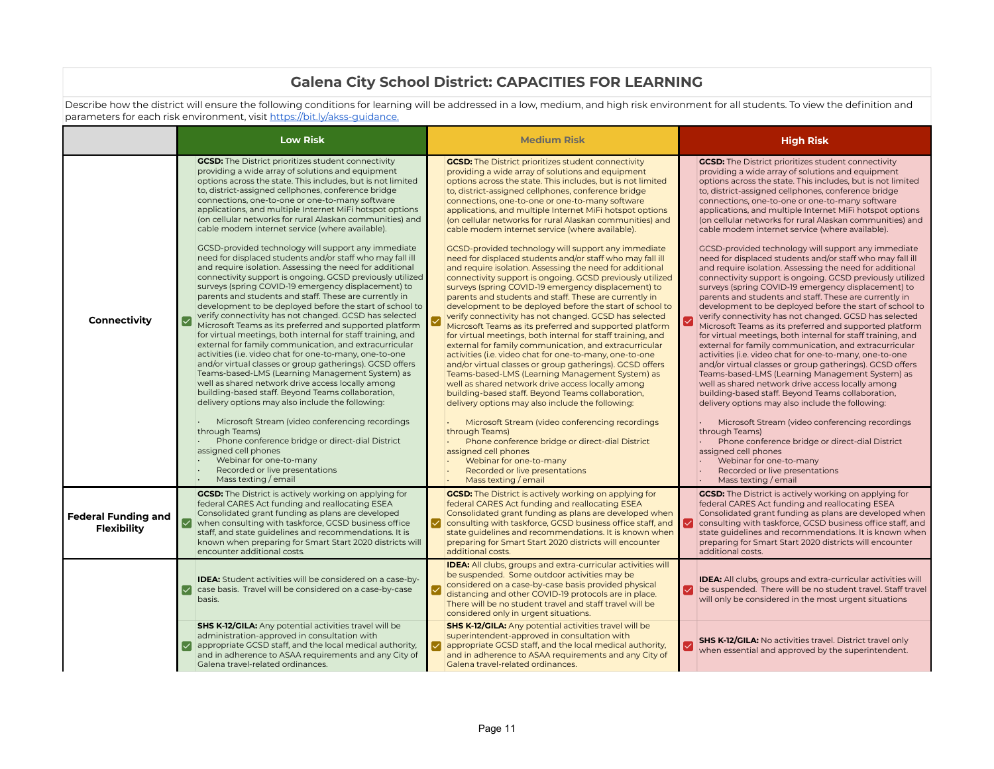## **Galena City School District: CAPACITIES FOR LEARNING**

Describe how the district will ensure the following conditions for learning will be addressed in a low, medium, and high risk environment for all students. To view the definition and parameters for each risk environment, visit https://bit.ly/akss-guidance.

|                                    |     | <b>Low Risk</b>                                                                                                                                                                                                                                                                                                                                                                                                                                                                                                                                                                                                                                                                                                                                                                                                                                                                                                                                                                                                                                                                                                                                                                                                                                                                                                                                                                                                                                                                                                                                                                                                                                                                                                          |   | <b>Medium Risk</b>                                                                                                                                                                                                                                                                                                                                                                                                                                                                                                                                                                                                                                                                                                                                                                                                                                                                                                                                                                                                                                                                                                                                                                                                                                                                                                                                                                                                                                                                                                                                                                                                                                                                                                       |   | <b>High Risk</b>                                                                                                                                                                                                                                                                                                                                                                                                                                                                                                                                                                                                                                                                                                                                                                                                                                                                                                                                                                                                                                                                                                                                                                                                                                                                                                                                                                                                                                                                                                                                                                                                                                                                                                         |
|------------------------------------|-----|--------------------------------------------------------------------------------------------------------------------------------------------------------------------------------------------------------------------------------------------------------------------------------------------------------------------------------------------------------------------------------------------------------------------------------------------------------------------------------------------------------------------------------------------------------------------------------------------------------------------------------------------------------------------------------------------------------------------------------------------------------------------------------------------------------------------------------------------------------------------------------------------------------------------------------------------------------------------------------------------------------------------------------------------------------------------------------------------------------------------------------------------------------------------------------------------------------------------------------------------------------------------------------------------------------------------------------------------------------------------------------------------------------------------------------------------------------------------------------------------------------------------------------------------------------------------------------------------------------------------------------------------------------------------------------------------------------------------------|---|--------------------------------------------------------------------------------------------------------------------------------------------------------------------------------------------------------------------------------------------------------------------------------------------------------------------------------------------------------------------------------------------------------------------------------------------------------------------------------------------------------------------------------------------------------------------------------------------------------------------------------------------------------------------------------------------------------------------------------------------------------------------------------------------------------------------------------------------------------------------------------------------------------------------------------------------------------------------------------------------------------------------------------------------------------------------------------------------------------------------------------------------------------------------------------------------------------------------------------------------------------------------------------------------------------------------------------------------------------------------------------------------------------------------------------------------------------------------------------------------------------------------------------------------------------------------------------------------------------------------------------------------------------------------------------------------------------------------------|---|--------------------------------------------------------------------------------------------------------------------------------------------------------------------------------------------------------------------------------------------------------------------------------------------------------------------------------------------------------------------------------------------------------------------------------------------------------------------------------------------------------------------------------------------------------------------------------------------------------------------------------------------------------------------------------------------------------------------------------------------------------------------------------------------------------------------------------------------------------------------------------------------------------------------------------------------------------------------------------------------------------------------------------------------------------------------------------------------------------------------------------------------------------------------------------------------------------------------------------------------------------------------------------------------------------------------------------------------------------------------------------------------------------------------------------------------------------------------------------------------------------------------------------------------------------------------------------------------------------------------------------------------------------------------------------------------------------------------------|
| Connectivity                       | ✓   | <b>GCSD:</b> The District prioritizes student connectivity<br>providing a wide array of solutions and equipment<br>options across the state. This includes, but is not limited<br>to, district-assigned cellphones, conference bridge<br>connections, one-to-one or one-to-many software<br>applications, and multiple Internet MiFi hotspot options<br>(on cellular networks for rural Alaskan communities) and<br>cable modem internet service (where available).<br>GCSD-provided technology will support any immediate<br>need for displaced students and/or staff who may fall ill<br>and require isolation. Assessing the need for additional<br>connectivity support is ongoing. GCSD previously utilized<br>surveys (spring COVID-19 emergency displacement) to<br>parents and students and staff. These are currently in<br>development to be deployed before the start of school to<br>verify connectivity has not changed. GCSD has selected<br>Microsoft Teams as its preferred and supported platform<br>for virtual meetings, both internal for staff training, and<br>external for family communication, and extracurricular<br>activities (i.e. video chat for one-to-many, one-to-one<br>and/or virtual classes or group gatherings). GCSD offers<br>Teams-based-LMS (Learning Management System) as<br>well as shared network drive access locally among<br>building-based staff. Beyond Teams collaboration,<br>delivery options may also include the following:<br>Microsoft Stream (video conferencing recordings<br>through Teams)<br>Phone conference bridge or direct-dial District<br>assigned cell phones<br>Webinar for one-to-many<br>Recorded or live presentations<br>Mass texting / email |   | <b>GCSD:</b> The District prioritizes student connectivity<br>providing a wide array of solutions and equipment<br>options across the state. This includes, but is not limited<br>to, district-assigned cellphones, conference bridge<br>connections, one-to-one or one-to-many software<br>applications, and multiple Internet MiFi hotspot options<br>(on cellular networks for rural Alaskan communities) and<br>cable modem internet service (where available).<br>GCSD-provided technology will support any immediate<br>need for displaced students and/or staff who may fall ill<br>and require isolation. Assessing the need for additional<br>connectivity support is ongoing. GCSD previously utilized<br>surveys (spring COVID-19 emergency displacement) to<br>parents and students and staff. These are currently in<br>development to be deployed before the start of school to<br>verify connectivity has not changed. GCSD has selected<br>Microsoft Teams as its preferred and supported platform<br>for virtual meetings, both internal for staff training, and<br>external for family communication, and extracurricular<br>activities (i.e. video chat for one-to-many, one-to-one<br>and/or virtual classes or group gatherings). GCSD offers<br>Teams-based-LMS (Learning Management System) as<br>well as shared network drive access locally among<br>building-based staff. Beyond Teams collaboration,<br>delivery options may also include the following:<br>Microsoft Stream (video conferencing recordings<br>through Teams)<br>Phone conference bridge or direct-dial District<br>assigned cell phones<br>Webinar for one-to-many<br>Recorded or live presentations<br>Mass texting / email |   | <b>GCSD:</b> The District prioritizes student connectivity<br>providing a wide array of solutions and equipment<br>options across the state. This includes, but is not limited<br>to, district-assigned cellphones, conference bridge<br>connections, one-to-one or one-to-many software<br>applications, and multiple Internet MiFi hotspot options<br>(on cellular networks for rural Alaskan communities) and<br>cable modem internet service (where available).<br>GCSD-provided technology will support any immediate<br>need for displaced students and/or staff who may fall ill<br>and require isolation. Assessing the need for additional<br>connectivity support is ongoing. GCSD previously utilized<br>surveys (spring COVID-19 emergency displacement) to<br>parents and students and staff. These are currently in<br>development to be deployed before the start of school to<br>verify connectivity has not changed. GCSD has selected<br>Microsoft Teams as its preferred and supported platform<br>for virtual meetings, both internal for staff training, and<br>external for family communication, and extracurricular<br>activities (i.e. video chat for one-to-many, one-to-one<br>and/or virtual classes or group gatherings). GCSD offers<br>Teams-based-LMS (Learning Management System) as<br>well as shared network drive access locally among<br>building-based staff. Beyond Teams collaboration,<br>delivery options may also include the following:<br>Microsoft Stream (video conferencing recordings<br>through Teams)<br>Phone conference bridge or direct-dial District<br>assigned cell phones<br>Webinar for one-to-many<br>Recorded or live presentations<br>Mass texting / email |
| Federal Funding and<br>Flexibility | I√l | <b>GCSD:</b> The District is actively working on applying for<br>federal CARES Act funding and reallocating ESEA<br>Consolidated grant funding as plans are developed<br>when consulting with taskforce, GCSD business office<br>staff, and state guidelines and recommendations. It is<br>known when preparing for Smart Start 2020 districts will<br>encounter additional costs.                                                                                                                                                                                                                                                                                                                                                                                                                                                                                                                                                                                                                                                                                                                                                                                                                                                                                                                                                                                                                                                                                                                                                                                                                                                                                                                                       | ⋉ | <b>GCSD:</b> The District is actively working on applying for<br>federal CARES Act funding and reallocating ESEA<br>Consolidated grant funding as plans are developed when<br>consulting with taskforce, GCSD business office staff, and $\ \vee\ $<br>state guidelines and recommendations. It is known when<br>preparing for Smart Start 2020 districts will encounter<br>additional costs.                                                                                                                                                                                                                                                                                                                                                                                                                                                                                                                                                                                                                                                                                                                                                                                                                                                                                                                                                                                                                                                                                                                                                                                                                                                                                                                            |   | <b>GCSD:</b> The District is actively working on applying for<br>federal CARES Act funding and reallocating ESEA<br>Consolidated grant funding as plans are developed when<br>consulting with taskforce, GCSD business office staff, and<br>state guidelines and recommendations. It is known when<br>preparing for Smart Start 2020 districts will encounter<br>additional costs.                                                                                                                                                                                                                                                                                                                                                                                                                                                                                                                                                                                                                                                                                                                                                                                                                                                                                                                                                                                                                                                                                                                                                                                                                                                                                                                                       |
|                                    | ∣✓  | <b>IDEA:</b> Student activities will be considered on a case-by-<br>case basis. Travel will be considered on a case-by-case<br>basis.                                                                                                                                                                                                                                                                                                                                                                                                                                                                                                                                                                                                                                                                                                                                                                                                                                                                                                                                                                                                                                                                                                                                                                                                                                                                                                                                                                                                                                                                                                                                                                                    |   | <b>IDEA:</b> All clubs, groups and extra-curricular activities will<br>be suspended. Some outdoor activities may be<br>considered on a case-by-case basis provided physical<br>distancing and other COVID-19 protocols are in place.<br>There will be no student travel and staff travel will be<br>considered only in urgent situations.                                                                                                                                                                                                                                                                                                                                                                                                                                                                                                                                                                                                                                                                                                                                                                                                                                                                                                                                                                                                                                                                                                                                                                                                                                                                                                                                                                                | ◡ | <b>IDEA:</b> All clubs, groups and extra-curricular activities will<br>be suspended. There will be no student travel. Staff travel<br>will only be considered in the most urgent situations                                                                                                                                                                                                                                                                                                                                                                                                                                                                                                                                                                                                                                                                                                                                                                                                                                                                                                                                                                                                                                                                                                                                                                                                                                                                                                                                                                                                                                                                                                                              |
|                                    | ∣✓  | <b>SHS K-12/GILA:</b> Any potential activities travel will be<br>administration-approved in consultation with<br>appropriate GCSD staff, and the local medical authority,<br>and in adherence to ASAA requirements and any City of<br>Galena travel-related ordinances.                                                                                                                                                                                                                                                                                                                                                                                                                                                                                                                                                                                                                                                                                                                                                                                                                                                                                                                                                                                                                                                                                                                                                                                                                                                                                                                                                                                                                                                  | ∨ | <b>SHS K-12/GILA:</b> Any potential activities travel will be<br>superintendent-approved in consultation with<br>appropriate GCSD staff, and the local medical authority,<br>and in adherence to ASAA requirements and any City of<br>Galena travel-related ordinances.                                                                                                                                                                                                                                                                                                                                                                                                                                                                                                                                                                                                                                                                                                                                                                                                                                                                                                                                                                                                                                                                                                                                                                                                                                                                                                                                                                                                                                                  |   | <b>SHS K-12/GILA:</b> No activities travel. District travel only<br>when essential and approved by the superintendent.                                                                                                                                                                                                                                                                                                                                                                                                                                                                                                                                                                                                                                                                                                                                                                                                                                                                                                                                                                                                                                                                                                                                                                                                                                                                                                                                                                                                                                                                                                                                                                                                   |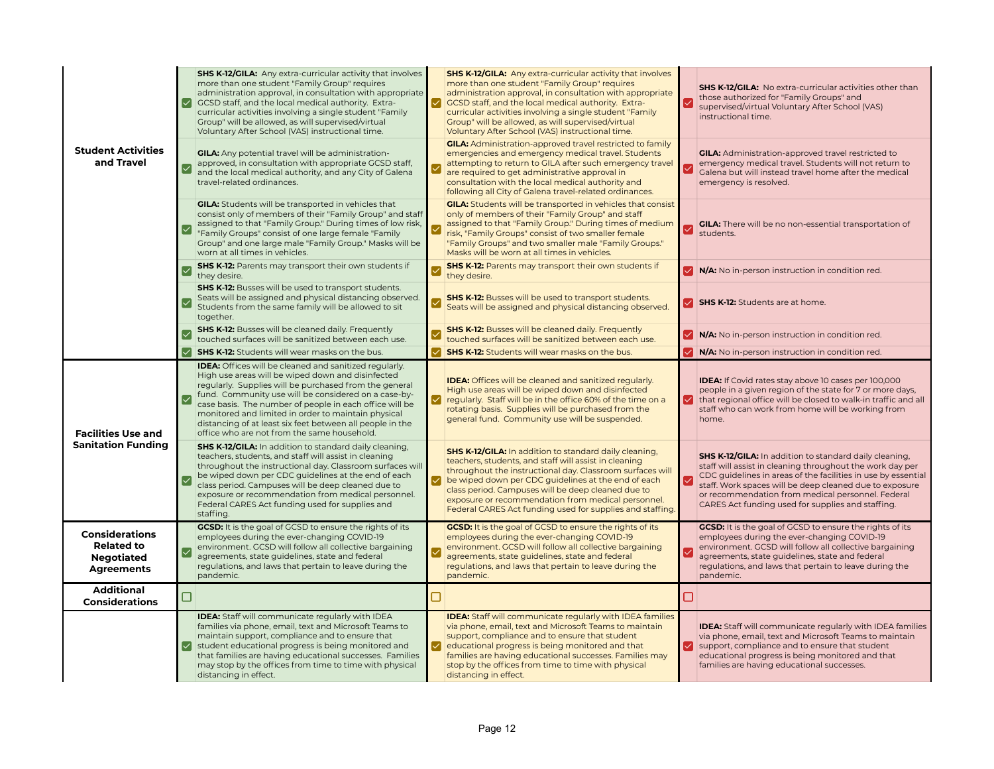|                                                                                      | l✓l                                    | <b>SHS K-12/GILA:</b> Any extra-curricular activity that involves<br>more than one student "Family Group" requires<br>administration approval, in consultation with appropriate<br>GCSD staff, and the local medical authority. Extra-<br>curricular activities involving a single student "Family<br>Group" will be allowed, as will supervised/virtual<br>Voluntary After School (VAS) instructional time.                                                       |                         | <b>SHS K-12/GILA:</b> Any extra-curricular activity that involves<br>more than one student "Family Group" requires<br>administration approval, in consultation with appropriate<br>CCSD staff, and the local medical authority. Extra-<br>curricular activities involving a single student "Family<br>Group" will be allowed, as will supervised/virtual<br>Voluntary After School (VAS) instructional time.        | ✓                      | SHS K-12/GILA: No extra-curricular activities other than<br>those authorized for "Family Groups" and<br>supervised/virtual Voluntary After School (VAS)<br>instructional time.                                                                                                                                                                                   |
|--------------------------------------------------------------------------------------|----------------------------------------|--------------------------------------------------------------------------------------------------------------------------------------------------------------------------------------------------------------------------------------------------------------------------------------------------------------------------------------------------------------------------------------------------------------------------------------------------------------------|-------------------------|---------------------------------------------------------------------------------------------------------------------------------------------------------------------------------------------------------------------------------------------------------------------------------------------------------------------------------------------------------------------------------------------------------------------|------------------------|------------------------------------------------------------------------------------------------------------------------------------------------------------------------------------------------------------------------------------------------------------------------------------------------------------------------------------------------------------------|
| <b>Student Activities</b><br>and Travel                                              |                                        | <b>GILA:</b> Any potential travel will be administration-<br>approved, in consultation with appropriate GCSD staff,<br>and the local medical authority, and any City of Galena<br>travel-related ordinances.                                                                                                                                                                                                                                                       |                         | <b>GILA:</b> Administration-approved travel restricted to family<br>emergencies and emergency medical travel. Students<br>attempting to return to GILA after such emergency travel<br>are required to get administrative approval in<br>consultation with the local medical authority and<br>following all City of Galena travel-related ordinances.                                                                |                        | <b>GILA:</b> Administration-approved travel restricted to<br>emergency medical travel. Students will not return to<br>Galena but will instead travel home after the medical<br>emergency is resolved.                                                                                                                                                            |
|                                                                                      | $\boldsymbol{\lvert\mathcal{p}\rvert}$ | <b>GILA:</b> Students will be transported in vehicles that<br>consist only of members of their "Family Group" and staff<br>assigned to that "Family Group." During times of low risk,<br>"Family Groups" consist of one large female "Family<br>Group" and one large male "Family Group." Masks will be<br>worn at all times in vehicles.                                                                                                                          | $\vee$                  | <b>GILA:</b> Students will be transported in vehicles that consist<br>only of members of their "Family Group" and staff<br>assigned to that "Family Group." During times of medium<br>risk, "Family Groups" consist of two smaller female<br>"Family Groups" and two smaller male "Family Groups."<br>Masks will be worn at all times in vehicles.                                                                  | $\vert\checkmark\vert$ | <b>GILA:</b> There will be no non-essential transportation of<br>students.                                                                                                                                                                                                                                                                                       |
|                                                                                      | $\overline{\vee}$                      | <b>SHS K-12:</b> Parents may transport their own students if<br>they desire.                                                                                                                                                                                                                                                                                                                                                                                       | $\overline{\checkmark}$ | <b>SHS K-12:</b> Parents may transport their own students if<br>they desire.                                                                                                                                                                                                                                                                                                                                        |                        | V N/A: No in-person instruction in condition red.                                                                                                                                                                                                                                                                                                                |
|                                                                                      |                                        | <b>SHS K-12:</b> Busses will be used to transport students.<br>Seats will be assigned and physical distancing observed.<br>Students from the same family will be allowed to sit<br>together.                                                                                                                                                                                                                                                                       |                         | <b>SHS K-12:</b> Busses will be used to transport students.<br>Seats will be assigned and physical distancing observed.                                                                                                                                                                                                                                                                                             |                        | SHS K-12: Students are at home.                                                                                                                                                                                                                                                                                                                                  |
|                                                                                      |                                        | <b>SHS K-12:</b> Busses will be cleaned daily. Frequently<br>touched surfaces will be sanitized between each use.                                                                                                                                                                                                                                                                                                                                                  |                         | <b>SHS K-12:</b> Busses will be cleaned daily. Frequently<br>touched surfaces will be sanitized between each use.                                                                                                                                                                                                                                                                                                   |                        | V N/A: No in-person instruction in condition red.                                                                                                                                                                                                                                                                                                                |
|                                                                                      | ☑                                      | <b>SHS K-12:</b> Students will wear masks on the bus.                                                                                                                                                                                                                                                                                                                                                                                                              |                         | <b>SHS K-12:</b> Students will wear masks on the bus.                                                                                                                                                                                                                                                                                                                                                               | ☑                      | N/A: No in-person instruction in condition red.                                                                                                                                                                                                                                                                                                                  |
| <b>Facilities Use and</b>                                                            |                                        | <b>IDEA:</b> Offices will be cleaned and sanitized regularly.<br>High use areas will be wiped down and disinfected<br>regularly. Supplies will be purchased from the general<br>fund. Community use will be considered on a case-by-<br>case basis. The number of people in each office will be<br>monitored and limited in order to maintain physical<br>distancing of at least six feet between all people in the<br>office who are not from the same household. |                         | <b>IDEA:</b> Offices will be cleaned and sanitized regularly.<br>High use areas will be wiped down and disinfected<br>regularly. Staff will be in the office 60% of the time on a<br>rotating basis. Supplies will be purchased from the<br>general fund. Community use will be suspended.                                                                                                                          |                        | <b>IDEA:</b> If Covid rates stay above 10 cases per 100,000<br>people in a given region of the state for 7 or more days,<br>That regional office will be closed to walk-in traffic and all<br>staff who can work from home will be working from<br>home.                                                                                                         |
| <b>Sanitation Funding</b>                                                            |                                        | <b>SHS K-12/GILA:</b> In addition to standard daily cleaning,<br>teachers, students, and staff will assist in cleaning<br>throughout the instructional day. Classroom surfaces will<br>be wiped down per CDC guidelines at the end of each<br>class period. Campuses will be deep cleaned due to<br>exposure or recommendation from medical personnel.<br>Federal CARES Act funding used for supplies and<br>staffing.                                             |                         | <b>SHS K-12/GILA:</b> In addition to standard daily cleaning,<br>teachers, students, and staff will assist in cleaning<br>throughout the instructional day. Classroom surfaces will<br>be wiped down per CDC guidelines at the end of each<br>class period. Campuses will be deep cleaned due to<br>exposure or recommendation from medical personnel.<br>Federal CARES Act funding used for supplies and staffing. |                        | <b>SHS K-12/GILA:</b> In addition to standard daily cleaning,<br>staff will assist in cleaning throughout the work day per<br>CDC guidelines in areas of the facilities in use by essential<br>staff. Work spaces will be deep cleaned due to exposure<br>or recommendation from medical personnel. Federal<br>CARES Act funding used for supplies and staffing. |
| <b>Considerations</b><br><b>Related to</b><br><b>Negotiated</b><br><b>Agreements</b> | ⊽                                      | <b>GCSD:</b> It is the goal of GCSD to ensure the rights of its<br>employees during the ever-changing COVID-19<br>environment. GCSD will follow all collective bargaining<br>agreements, state guidelines, state and federal<br>regulations, and laws that pertain to leave during the<br>pandemic.                                                                                                                                                                | $\checkmark$            | <b>GCSD:</b> It is the goal of GCSD to ensure the rights of its<br>employees during the ever-changing COVID-19<br>environment. GCSD will follow all collective bargaining<br>agreements, state guidelines, state and federal<br>regulations, and laws that pertain to leave during the<br>pandemic.                                                                                                                 | ▽                      | <b>GCSD:</b> It is the goal of GCSD to ensure the rights of its<br>employees during the ever-changing COVID-19<br>environment. GCSD will follow all collective bargaining<br>agreements, state guidelines, state and federal<br>regulations, and laws that pertain to leave during the<br>pandemic.                                                              |
| <b>Additional</b><br><b>Considerations</b>                                           | □                                      |                                                                                                                                                                                                                                                                                                                                                                                                                                                                    | □                       |                                                                                                                                                                                                                                                                                                                                                                                                                     | □                      |                                                                                                                                                                                                                                                                                                                                                                  |
|                                                                                      | I√l                                    | <b>IDEA:</b> Staff will communicate regularly with IDEA<br>families via phone, email, text and Microsoft Teams to<br>maintain support, compliance and to ensure that<br>student educational progress is being monitored and<br>that families are having educational successes. Families<br>may stop by the offices from time to time with physical<br>distancing in effect.                                                                                        |                         | <b>IDEA:</b> Staff will communicate regularly with IDEA families<br>via phone, email, text and Microsoft Teams to maintain<br>support, compliance and to ensure that student<br>V educational progress is being monitored and that<br>families are having educational successes. Families may<br>stop by the offices from time to time with physical<br>distancing in effect.                                       |                        | <b>IDEA:</b> Staff will communicate regularly with IDEA families<br>via phone, email, text and Microsoft Teams to maintain<br>I support, compliance and to ensure that student<br>educational progress is being monitored and that<br>families are having educational successes.                                                                                 |